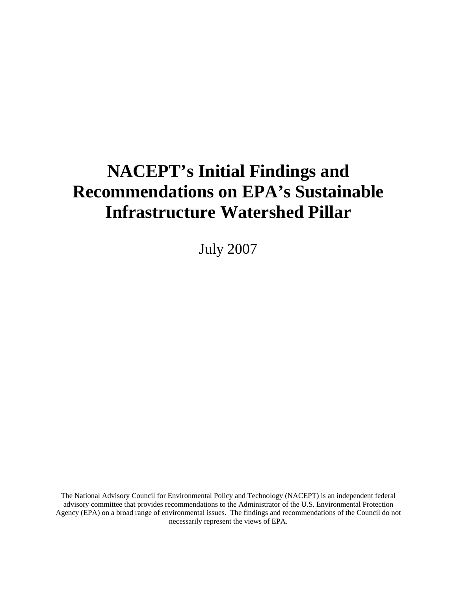# **NACEPT's Initial Findings and Recommendations on EPA's Sustainable Infrastructure Watershed Pillar**

July 2007

The National Advisory Council for Environmental Policy and Technology (NACEPT) is an independent federal advisory committee that provides recommendations to the Administrator of the U.S. Environmental Protection Agency (EPA) on a broad range of environmental issues. The findings and recommendations of the Council do not necessarily represent the views of EPA.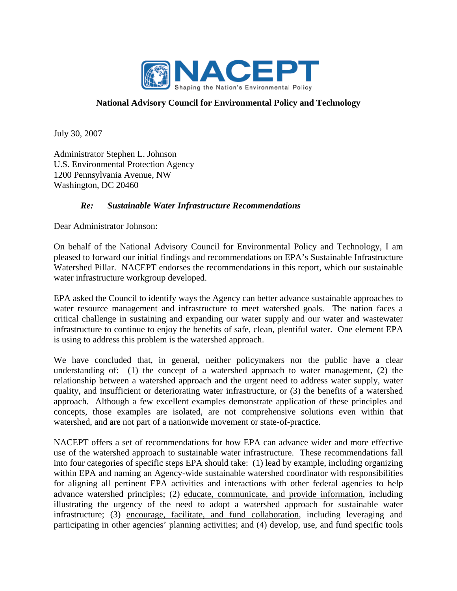

#### **National Advisory Council for Environmental Policy and Technology**

July 30, 2007

Administrator Stephen L. Johnson U.S. Environmental Protection Agency 1200 Pennsylvania Avenue, NW Washington, DC 20460

#### *Re: Sustainable Water Infrastructure Recommendations*

Dear Administrator Johnson:

On behalf of the National Advisory Council for Environmental Policy and Technology, I am pleased to forward our initial findings and recommendations on EPA's Sustainable Infrastructure Watershed Pillar. NACEPT endorses the recommendations in this report, which our sustainable water infrastructure workgroup developed.

EPA asked the Council to identify ways the Agency can better advance sustainable approaches to water resource management and infrastructure to meet watershed goals. The nation faces a critical challenge in sustaining and expanding our water supply and our water and wastewater infrastructure to continue to enjoy the benefits of safe, clean, plentiful water. One element EPA is using to address this problem is the watershed approach.

We have concluded that, in general, neither policymakers nor the public have a clear understanding of: (1) the concept of a watershed approach to water management, (2) the relationship between a watershed approach and the urgent need to address water supply, water quality, and insufficient or deteriorating water infrastructure, or (3) the benefits of a watershed approach. Although a few excellent examples demonstrate application of these principles and concepts, those examples are isolated, are not comprehensive solutions even within that watershed, and are not part of a nationwide movement or state-of-practice.

NACEPT offers a set of recommendations for how EPA can advance wider and more effective use of the watershed approach to sustainable water infrastructure. These recommendations fall into four categories of specific steps EPA should take: (1) lead by example, including organizing within EPA and naming an Agency-wide sustainable watershed coordinator with responsibilities for aligning all pertinent EPA activities and interactions with other federal agencies to help advance watershed principles; (2) educate, communicate, and provide information, including illustrating the urgency of the need to adopt a watershed approach for sustainable water infrastructure; (3) encourage, facilitate, and fund collaboration, including leveraging and participating in other agencies' planning activities; and (4) develop, use, and fund specific tools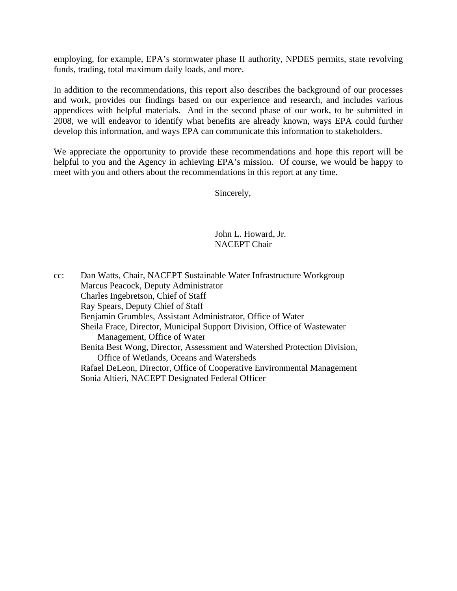employing, for example, EPA's stormwater phase II authority, NPDES permits, state revolving funds, trading, total maximum daily loads, and more.

In addition to the recommendations, this report also describes the background of our processes and work, provides our findings based on our experience and research, and includes various appendices with helpful materials. And in the second phase of our work, to be submitted in 2008, we will endeavor to identify what benefits are already known, ways EPA could further develop this information, and ways EPA can communicate this information to stakeholders.

We appreciate the opportunity to provide these recommendations and hope this report will be helpful to you and the Agency in achieving EPA's mission. Of course, we would be happy to meet with you and others about the recommendations in this report at any time.

Sincerely,

John L. Howard, Jr. NACEPT Chair

cc: Dan Watts, Chair, NACEPT Sustainable Water Infrastructure Workgroup Marcus Peacock, Deputy Administrator Charles Ingebretson, Chief of Staff Ray Spears, Deputy Chief of Staff Benjamin Grumbles, Assistant Administrator, Office of Water Sheila Frace, Director, Municipal Support Division, Office of Wastewater Management, Office of Water Benita Best Wong, Director, Assessment and Watershed Protection Division, Office of Wetlands, Oceans and Watersheds Rafael DeLeon, Director, Office of Cooperative Environmental Management Sonia Altieri, NACEPT Designated Federal Officer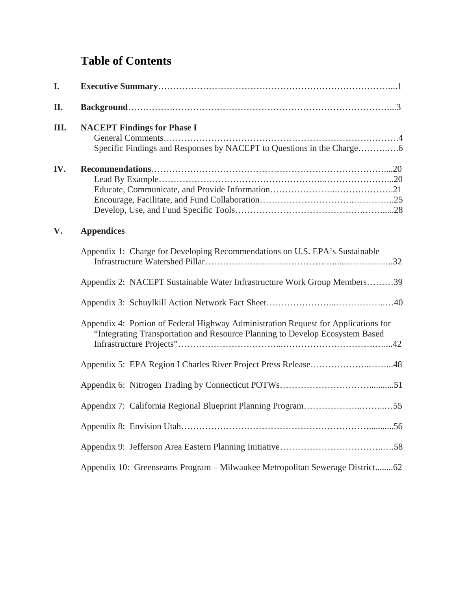## **Table of Contents**

| I.  |                                                                                                                                                                    |  |  |  |
|-----|--------------------------------------------------------------------------------------------------------------------------------------------------------------------|--|--|--|
| II. |                                                                                                                                                                    |  |  |  |
| Ш.  | <b>NACEPT Findings for Phase I</b>                                                                                                                                 |  |  |  |
| IV. |                                                                                                                                                                    |  |  |  |
| V.  | <b>Appendices</b>                                                                                                                                                  |  |  |  |
|     | Appendix 1: Charge for Developing Recommendations on U.S. EPA's Sustainable                                                                                        |  |  |  |
|     | Appendix 2: NACEPT Sustainable Water Infrastructure Work Group Members39                                                                                           |  |  |  |
|     |                                                                                                                                                                    |  |  |  |
|     | Appendix 4: Portion of Federal Highway Administration Request for Applications for<br>"Integrating Transportation and Resource Planning to Develop Ecosystem Based |  |  |  |
|     | Appendix 5: EPA Region I Charles River Project Press Release48                                                                                                     |  |  |  |
|     |                                                                                                                                                                    |  |  |  |
|     |                                                                                                                                                                    |  |  |  |
|     |                                                                                                                                                                    |  |  |  |
|     |                                                                                                                                                                    |  |  |  |
|     | Appendix 10: Greenseams Program - Milwaukee Metropolitan Sewerage District62                                                                                       |  |  |  |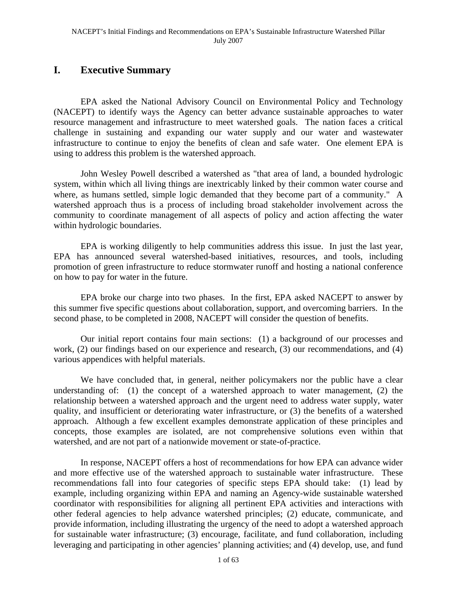### **I. Executive Summary**

EPA asked the National Advisory Council on Environmental Policy and Technology (NACEPT) to identify ways the Agency can better advance sustainable approaches to water resource management and infrastructure to meet watershed goals. The nation faces a critical challenge in sustaining and expanding our water supply and our water and wastewater infrastructure to continue to enjoy the benefits of clean and safe water. One element EPA is using to address this problem is the watershed approach.

John Wesley Powell described a watershed as "that area of land, a bounded hydrologic system, within which all living things are inextricably linked by their common water course and where, as humans settled, simple logic demanded that they become part of a community." A watershed approach thus is a process of including broad stakeholder involvement across the community to coordinate management of all aspects of policy and action affecting the water within hydrologic boundaries.

EPA is working diligently to help communities address this issue. In just the last year, EPA has announced several watershed-based initiatives, resources, and tools, including promotion of green infrastructure to reduce stormwater runoff and hosting a national conference on how to pay for water in the future.

EPA broke our charge into two phases. In the first, EPA asked NACEPT to answer by this summer five specific questions about collaboration, support, and overcoming barriers. In the second phase, to be completed in 2008, NACEPT will consider the question of benefits.

Our initial report contains four main sections: (1) a background of our processes and work, (2) our findings based on our experience and research, (3) our recommendations, and (4) various appendices with helpful materials.

We have concluded that, in general, neither policymakers nor the public have a clear understanding of: (1) the concept of a watershed approach to water management, (2) the relationship between a watershed approach and the urgent need to address water supply, water quality, and insufficient or deteriorating water infrastructure, or (3) the benefits of a watershed approach. Although a few excellent examples demonstrate application of these principles and concepts, those examples are isolated, are not comprehensive solutions even within that watershed, and are not part of a nationwide movement or state-of-practice.

In response, NACEPT offers a host of recommendations for how EPA can advance wider and more effective use of the watershed approach to sustainable water infrastructure. These recommendations fall into four categories of specific steps EPA should take: (1) lead by example, including organizing within EPA and naming an Agency-wide sustainable watershed coordinator with responsibilities for aligning all pertinent EPA activities and interactions with other federal agencies to help advance watershed principles; (2) educate, communicate, and provide information, including illustrating the urgency of the need to adopt a watershed approach for sustainable water infrastructure; (3) encourage, facilitate, and fund collaboration, including leveraging and participating in other agencies' planning activities; and (4) develop, use, and fund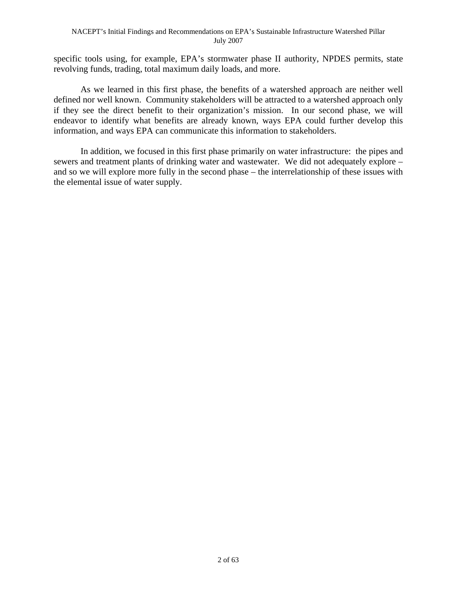specific tools using, for example, EPA's stormwater phase II authority, NPDES permits, state revolving funds, trading, total maximum daily loads, and more.

As we learned in this first phase, the benefits of a watershed approach are neither well defined nor well known. Community stakeholders will be attracted to a watershed approach only if they see the direct benefit to their organization's mission. In our second phase, we will endeavor to identify what benefits are already known, ways EPA could further develop this information, and ways EPA can communicate this information to stakeholders.

In addition, we focused in this first phase primarily on water infrastructure: the pipes and sewers and treatment plants of drinking water and wastewater. We did not adequately explore – and so we will explore more fully in the second phase – the interrelationship of these issues with the elemental issue of water supply.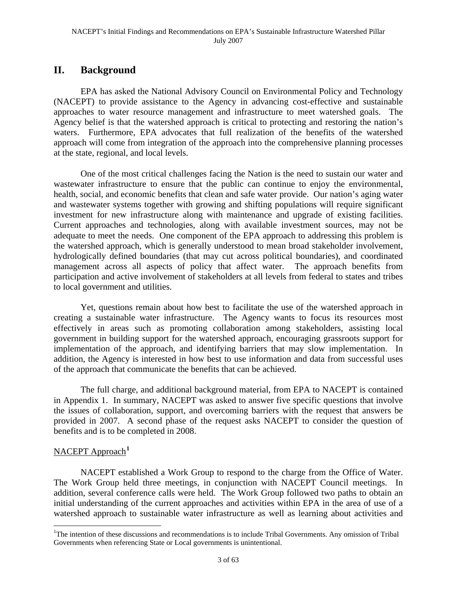#### **II. Background**

EPA has asked the National Advisory Council on Environmental Policy and Technology (NACEPT) to provide assistance to the Agency in advancing cost-effective and sustainable approaches to water resource management and infrastructure to meet watershed goals. The Agency belief is that the watershed approach is critical to protecting and restoring the nation's waters. Furthermore, EPA advocates that full realization of the benefits of the watershed approach will come from integration of the approach into the comprehensive planning processes at the state, regional, and local levels.

One of the most critical challenges facing the Nation is the need to sustain our water and wastewater infrastructure to ensure that the public can continue to enjoy the environmental, health, social, and economic benefits that clean and safe water provide. Our nation's aging water and wastewater systems together with growing and shifting populations will require significant investment for new infrastructure along with maintenance and upgrade of existing facilities. Current approaches and technologies, along with available investment sources, may not be adequate to meet the needs. One component of the EPA approach to addressing this problem is the watershed approach, which is generally understood to mean broad stakeholder involvement, hydrologically defined boundaries (that may cut across political boundaries), and coordinated management across all aspects of policy that affect water. The approach benefits from participation and active involvement of stakeholders at all levels from federal to states and tribes to local government and utilities.

Yet, questions remain about how best to facilitate the use of the watershed approach in creating a sustainable water infrastructure. The Agency wants to focus its resources most effectively in areas such as promoting collaboration among stakeholders, assisting local government in building support for the watershed approach, encouraging grassroots support for implementation of the approach, and identifying barriers that may slow implementation. In addition, the Agency is interested in how best to use information and data from successful uses of the approach that communicate the benefits that can be achieved.

The full charge, and additional background material, from EPA to NACEPT is contained in Appendix 1. In summary, NACEPT was asked to answer five specific questions that involve the issues of collaboration, support, and overcoming barriers with the request that answers be provided in 2007. A second phase of the request asks NACEPT to consider the question of benefits and is to be completed in 2008.

#### NACEPT Approach**[1](#page-6-0)**

 $\overline{a}$ 

NACEPT established a Work Group to respond to the charge from the Office of Water. The Work Group held three meetings, in conjunction with NACEPT Council meetings. In addition, several conference calls were held. The Work Group followed two paths to obtain an initial understanding of the current approaches and activities within EPA in the area of use of a watershed approach to sustainable water infrastructure as well as learning about activities and

<span id="page-6-0"></span><sup>&</sup>lt;sup>1</sup>The intention of these discussions and recommendations is to include Tribal Governments. Any omission of Tribal Governments when referencing State or Local governments is unintentional.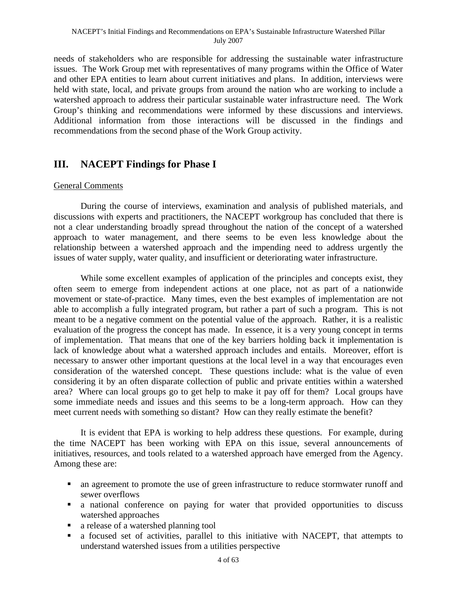needs of stakeholders who are responsible for addressing the sustainable water infrastructure issues. The Work Group met with representatives of many programs within the Office of Water and other EPA entities to learn about current initiatives and plans. In addition, interviews were held with state, local, and private groups from around the nation who are working to include a watershed approach to address their particular sustainable water infrastructure need. The Work Group's thinking and recommendations were informed by these discussions and interviews. Additional information from those interactions will be discussed in the findings and recommendations from the second phase of the Work Group activity.

#### **III. NACEPT Findings for Phase I**

#### General Comments

During the course of interviews, examination and analysis of published materials, and discussions with experts and practitioners, the NACEPT workgroup has concluded that there is not a clear understanding broadly spread throughout the nation of the concept of a watershed approach to water management, and there seems to be even less knowledge about the relationship between a watershed approach and the impending need to address urgently the issues of water supply, water quality, and insufficient or deteriorating water infrastructure.

While some excellent examples of application of the principles and concepts exist, they often seem to emerge from independent actions at one place, not as part of a nationwide movement or state-of-practice. Many times, even the best examples of implementation are not able to accomplish a fully integrated program, but rather a part of such a program. This is not meant to be a negative comment on the potential value of the approach. Rather, it is a realistic evaluation of the progress the concept has made. In essence, it is a very young concept in terms of implementation. That means that one of the key barriers holding back it implementation is lack of knowledge about what a watershed approach includes and entails. Moreover, effort is necessary to answer other important questions at the local level in a way that encourages even consideration of the watershed concept. These questions include: what is the value of even considering it by an often disparate collection of public and private entities within a watershed area? Where can local groups go to get help to make it pay off for them? Local groups have some immediate needs and issues and this seems to be a long-term approach. How can they meet current needs with something so distant? How can they really estimate the benefit?

It is evident that EPA is working to help address these questions. For example, during the time NACEPT has been working with EPA on this issue, several announcements of initiatives, resources, and tools related to a watershed approach have emerged from the Agency. Among these are:

- an [agreement](http://www.epa.gov/npdes/pubs/gi_intentstatement.pdf) to promote the use of green infrastructure to reduce stormwater runoff and sewer overflows
- a national conference on paying for water that provided opportunities to discuss watershed approaches
- a release of a watershed planning tool
- a focused set of activities, parallel to this initiative with NACEPT, that attempts to understand watershed issues from a utilities perspective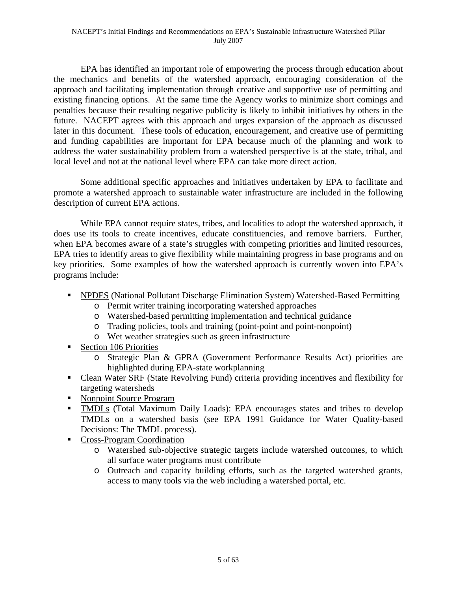EPA has identified an important role of empowering the process through education about the mechanics and benefits of the watershed approach, encouraging consideration of the approach and facilitating implementation through creative and supportive use of permitting and existing financing options. At the same time the Agency works to minimize short comings and penalties because their resulting negative publicity is likely to inhibit initiatives by others in the future. NACEPT agrees with this approach and urges expansion of the approach as discussed later in this document. These tools of education, encouragement, and creative use of permitting and funding capabilities are important for EPA because much of the planning and work to address the water sustainability problem from a watershed perspective is at the state, tribal, and local level and not at the national level where EPA can take more direct action.

Some additional specific approaches and initiatives undertaken by EPA to facilitate and promote a watershed approach to sustainable water infrastructure are included in the following description of current EPA actions.

While EPA cannot require states, tribes, and localities to adopt the watershed approach, it does use its tools to create incentives, educate constituencies, and remove barriers. Further, when EPA becomes aware of a state's struggles with competing priorities and limited resources, EPA tries to identify areas to give flexibility while maintaining progress in base programs and on key priorities. Some examples of how the watershed approach is currently woven into EPA's programs include:

- NPDES (National Pollutant Discharge Elimination System) Watershed-Based Permitting
	- o Permit writer training incorporating watershed approaches
	- o Watershed-based permitting implementation and technical guidance
	- o Trading policies, tools and training (point-point and point-nonpoint)
	- o Wet weather strategies such as green infrastructure
- Section 106 Priorities
	- o Strategic Plan & GPRA (Government Performance Results Act) priorities are highlighted during EPA-state workplanning
- Clean Water SRF (State Revolving Fund) criteria providing incentives and flexibility for targeting watersheds
- Nonpoint Source Program
- TMDLs (Total Maximum Daily Loads): EPA encourages states and tribes to develop TMDLs on a watershed basis (see EPA 1991 Guidance for Water Quality-based Decisions: The TMDL process).
- Cross-Program Coordination
	- o Watershed sub-objective strategic targets include watershed outcomes, to which all surface water programs must contribute
	- o Outreach and capacity building efforts, such as the targeted watershed grants, access to many tools via the web including a watershed portal, etc.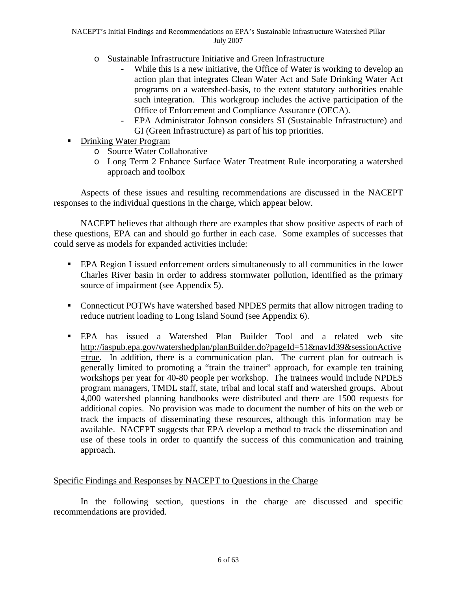- o Sustainable Infrastructure Initiative and Green Infrastructure
	- While this is a new initiative, the Office of Water is working to develop an action plan that integrates Clean Water Act and Safe Drinking Water Act programs on a watershed-basis, to the extent statutory authorities enable such integration. This workgroup includes the active participation of the Office of Enforcement and Compliance Assurance (OECA).
	- EPA Administrator Johnson considers SI (Sustainable Infrastructure) and GI (Green Infrastructure) as part of his top priorities.
- Drinking Water Program
	- o Source Water Collaborative
	- o Long Term 2 Enhance Surface Water Treatment Rule incorporating a watershed approach and toolbox

Aspects of these issues and resulting recommendations are discussed in the NACEPT responses to the individual questions in the charge, which appear below.

NACEPT believes that although there are examples that show positive aspects of each of these questions, EPA can and should go further in each case. Some examples of successes that could serve as models for expanded activities include:

- EPA Region I issued enforcement orders simultaneously to all communities in the lower Charles River basin in order to address stormwater pollution, identified as the primary source of impairment (see Appendix 5).
- Connecticut POTWs have watershed based NPDES permits that allow nitrogen trading to reduce nutrient loading to Long Island Sound (see Appendix 6).
- EPA has issued a Watershed Plan Builder Tool and a related web site [http://iaspub.epa.gov/watershedplan/planBuilder.do?pageId=51&navId39&sessionActive](http://iaspub.epa.gov/watershedplan/planBuilder.do?pageId=51&navId39&sessionActive=true) [=true.](http://iaspub.epa.gov/watershedplan/planBuilder.do?pageId=51&navId39&sessionActive=true) In addition, there is a communication plan. The current plan for outreach is generally limited to promoting a "train the trainer" approach, for example ten training workshops per year for 40-80 people per workshop. The trainees would include NPDES program managers, TMDL staff, state, tribal and local staff and watershed groups. About 4,000 watershed planning handbooks were distributed and there are 1500 requests for additional copies. No provision was made to document the number of hits on the web or track the impacts of disseminating these resources, although this information may be available. NACEPT suggests that EPA develop a method to track the dissemination and use of these tools in order to quantify the success of this communication and training approach.

#### Specific Findings and Responses by NACEPT to Questions in the Charge

In the following section, questions in the charge are discussed and specific recommendations are provided.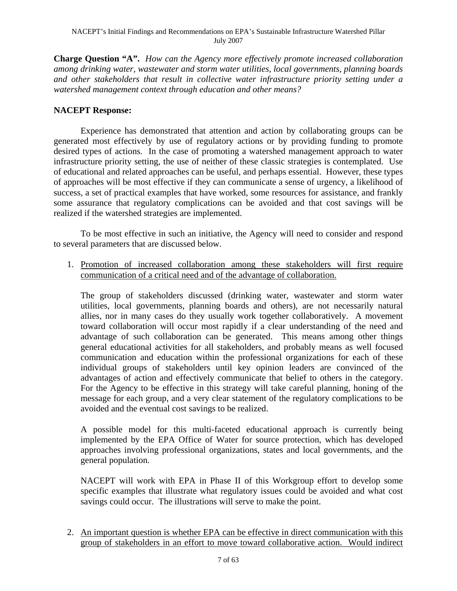**Charge Question "A".** *How can the Agency more effectively promote increased collaboration among drinking water, wastewater and storm water utilities, local governments, planning boards and other stakeholders that result in collective water infrastructure priority setting under a watershed management context through education and other means?* 

#### **NACEPT Response:**

Experience has demonstrated that attention and action by collaborating groups can be generated most effectively by use of regulatory actions or by providing funding to promote desired types of actions. In the case of promoting a watershed management approach to water infrastructure priority setting, the use of neither of these classic strategies is contemplated. Use of educational and related approaches can be useful, and perhaps essential. However, these types of approaches will be most effective if they can communicate a sense of urgency, a likelihood of success, a set of practical examples that have worked, some resources for assistance, and frankly some assurance that regulatory complications can be avoided and that cost savings will be realized if the watershed strategies are implemented.

To be most effective in such an initiative, the Agency will need to consider and respond to several parameters that are discussed below.

1. Promotion of increased collaboration among these stakeholders will first require communication of a critical need and of the advantage of collaboration.

The group of stakeholders discussed (drinking water, wastewater and storm water utilities, local governments, planning boards and others), are not necessarily natural allies, nor in many cases do they usually work together collaboratively. A movement toward collaboration will occur most rapidly if a clear understanding of the need and advantage of such collaboration can be generated. This means among other things general educational activities for all stakeholders, and probably means as well focused communication and education within the professional organizations for each of these individual groups of stakeholders until key opinion leaders are convinced of the advantages of action and effectively communicate that belief to others in the category. For the Agency to be effective in this strategy will take careful planning, honing of the message for each group, and a very clear statement of the regulatory complications to be avoided and the eventual cost savings to be realized.

A possible model for this multi-faceted educational approach is currently being implemented by the EPA Office of Water for source protection, which has developed approaches involving professional organizations, states and local governments, and the general population.

NACEPT will work with EPA in Phase II of this Workgroup effort to develop some specific examples that illustrate what regulatory issues could be avoided and what cost savings could occur. The illustrations will serve to make the point.

2. An important question is whether EPA can be effective in direct communication with this group of stakeholders in an effort to move toward collaborative action. Would indirect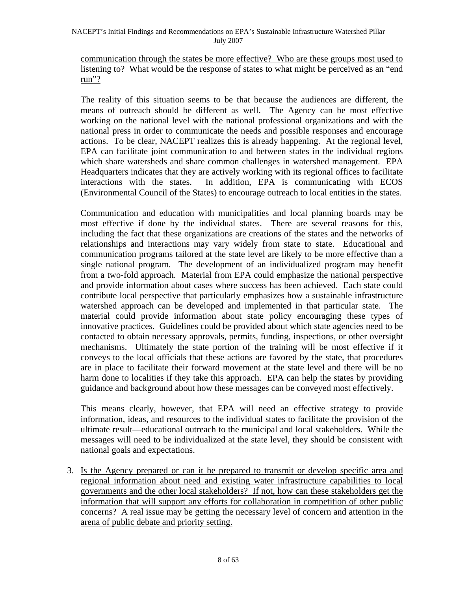communication through the states be more effective? Who are these groups most used to listening to? What would be the response of states to what might be perceived as an "end run"?

The reality of this situation seems to be that because the audiences are different, the means of outreach should be different as well. The Agency can be most effective working on the national level with the national professional organizations and with the national press in order to communicate the needs and possible responses and encourage actions. To be clear, NACEPT realizes this is already happening. At the regional level, EPA can facilitate joint communication to and between states in the individual regions which share watersheds and share common challenges in watershed management. EPA Headquarters indicates that they are actively working with its regional offices to facilitate interactions with the states. In addition, EPA is communicating with ECOS (Environmental Council of the States) to encourage outreach to local entities in the states.

Communication and education with municipalities and local planning boards may be most effective if done by the individual states. There are several reasons for this, including the fact that these organizations are creations of the states and the networks of relationships and interactions may vary widely from state to state. Educational and communication programs tailored at the state level are likely to be more effective than a single national program. The development of an individualized program may benefit from a two-fold approach. Material from EPA could emphasize the national perspective and provide information about cases where success has been achieved. Each state could contribute local perspective that particularly emphasizes how a sustainable infrastructure watershed approach can be developed and implemented in that particular state. The material could provide information about state policy encouraging these types of innovative practices. Guidelines could be provided about which state agencies need to be contacted to obtain necessary approvals, permits, funding, inspections, or other oversight mechanisms. Ultimately the state portion of the training will be most effective if it conveys to the local officials that these actions are favored by the state, that procedures are in place to facilitate their forward movement at the state level and there will be no harm done to localities if they take this approach. EPA can help the states by providing guidance and background about how these messages can be conveyed most effectively.

This means clearly, however, that EPA will need an effective strategy to provide information, ideas, and resources to the individual states to facilitate the provision of the ultimate result—educational outreach to the municipal and local stakeholders. While the messages will need to be individualized at the state level, they should be consistent with national goals and expectations.

3. Is the Agency prepared or can it be prepared to transmit or develop specific area and regional information about need and existing water infrastructure capabilities to local governments and the other local stakeholders? If not, how can these stakeholders get the information that will support any efforts for collaboration in competition of other public concerns? A real issue may be getting the necessary level of concern and attention in the arena of public debate and priority setting.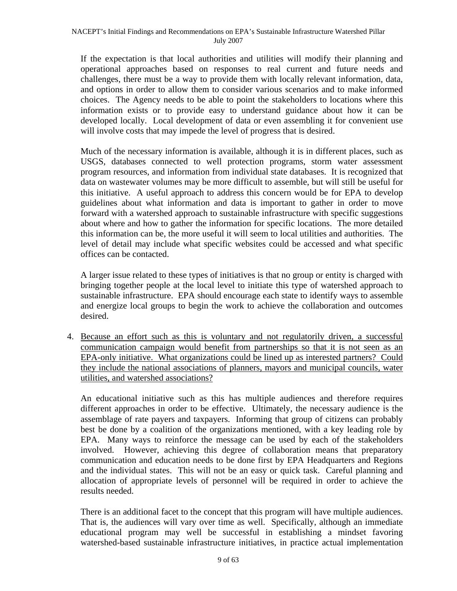If the expectation is that local authorities and utilities will modify their planning and operational approaches based on responses to real current and future needs and challenges, there must be a way to provide them with locally relevant information, data, and options in order to allow them to consider various scenarios and to make informed choices. The Agency needs to be able to point the stakeholders to locations where this information exists or to provide easy to understand guidance about how it can be developed locally. Local development of data or even assembling it for convenient use will involve costs that may impede the level of progress that is desired.

Much of the necessary information is available, although it is in different places, such as USGS, databases connected to well protection programs, storm water assessment program resources, and information from individual state databases. It is recognized that data on wastewater volumes may be more difficult to assemble, but will still be useful for this initiative. A useful approach to address this concern would be for EPA to develop guidelines about what information and data is important to gather in order to move forward with a watershed approach to sustainable infrastructure with specific suggestions about where and how to gather the information for specific locations. The more detailed this information can be, the more useful it will seem to local utilities and authorities. The level of detail may include what specific websites could be accessed and what specific offices can be contacted.

A larger issue related to these types of initiatives is that no group or entity is charged with bringing together people at the local level to initiate this type of watershed approach to sustainable infrastructure. EPA should encourage each state to identify ways to assemble and energize local groups to begin the work to achieve the collaboration and outcomes desired.

4. Because an effort such as this is voluntary and not regulatorily driven, a successful communication campaign would benefit from partnerships so that it is not seen as an EPA-only initiative. What organizations could be lined up as interested partners? Could they include the national associations of planners, mayors and municipal councils, water utilities, and watershed associations?

An educational initiative such as this has multiple audiences and therefore requires different approaches in order to be effective. Ultimately, the necessary audience is the assemblage of rate payers and taxpayers. Informing that group of citizens can probably best be done by a coalition of the organizations mentioned, with a key leading role by EPA. Many ways to reinforce the message can be used by each of the stakeholders involved. However, achieving this degree of collaboration means that preparatory communication and education needs to be done first by EPA Headquarters and Regions and the individual states. This will not be an easy or quick task. Careful planning and allocation of appropriate levels of personnel will be required in order to achieve the results needed.

There is an additional facet to the concept that this program will have multiple audiences. That is, the audiences will vary over time as well. Specifically, although an immediate educational program may well be successful in establishing a mindset favoring watershed-based sustainable infrastructure initiatives, in practice actual implementation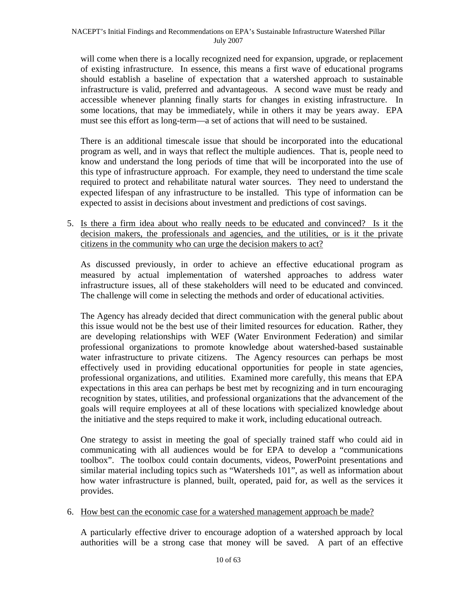will come when there is a locally recognized need for expansion, upgrade, or replacement of existing infrastructure. In essence, this means a first wave of educational programs should establish a baseline of expectation that a watershed approach to sustainable infrastructure is valid, preferred and advantageous. A second wave must be ready and accessible whenever planning finally starts for changes in existing infrastructure. In some locations, that may be immediately, while in others it may be years away. EPA must see this effort as long-term—a set of actions that will need to be sustained.

There is an additional timescale issue that should be incorporated into the educational program as well, and in ways that reflect the multiple audiences. That is, people need to know and understand the long periods of time that will be incorporated into the use of this type of infrastructure approach. For example, they need to understand the time scale required to protect and rehabilitate natural water sources. They need to understand the expected lifespan of any infrastructure to be installed. This type of information can be expected to assist in decisions about investment and predictions of cost savings.

5. Is there a firm idea about who really needs to be educated and convinced? Is it the decision makers, the professionals and agencies, and the utilities, or is it the private citizens in the community who can urge the decision makers to act?

As discussed previously, in order to achieve an effective educational program as measured by actual implementation of watershed approaches to address water infrastructure issues, all of these stakeholders will need to be educated and convinced. The challenge will come in selecting the methods and order of educational activities.

The Agency has already decided that direct communication with the general public about this issue would not be the best use of their limited resources for education. Rather, they are developing relationships with WEF (Water Environment Federation) and similar professional organizations to promote knowledge about watershed-based sustainable water infrastructure to private citizens. The Agency resources can perhaps be most effectively used in providing educational opportunities for people in state agencies, professional organizations, and utilities. Examined more carefully, this means that EPA expectations in this area can perhaps be best met by recognizing and in turn encouraging recognition by states, utilities, and professional organizations that the advancement of the goals will require employees at all of these locations with specialized knowledge about the initiative and the steps required to make it work, including educational outreach.

One strategy to assist in meeting the goal of specially trained staff who could aid in communicating with all audiences would be for EPA to develop a "communications toolbox". The toolbox could contain documents, videos, PowerPoint presentations and similar material including topics such as "Watersheds 101", as well as information about how water infrastructure is planned, built, operated, paid for, as well as the services it provides.

#### 6. How best can the economic case for a watershed management approach be made?

A particularly effective driver to encourage adoption of a watershed approach by local authorities will be a strong case that money will be saved. A part of an effective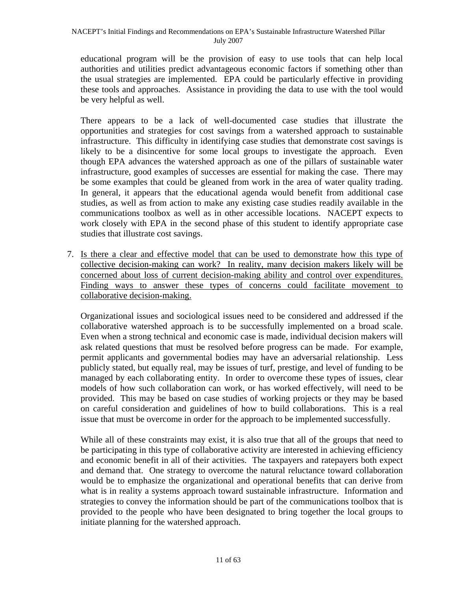#### NACEPT's Initial Findings and Recommendations on EPA's Sustainable Infrastructure Watershed Pillar July 2007

educational program will be the provision of easy to use tools that can help local authorities and utilities predict advantageous economic factors if something other than the usual strategies are implemented. EPA could be particularly effective in providing these tools and approaches. Assistance in providing the data to use with the tool would be very helpful as well.

There appears to be a lack of well-documented case studies that illustrate the opportunities and strategies for cost savings from a watershed approach to sustainable infrastructure. This difficulty in identifying case studies that demonstrate cost savings is likely to be a disincentive for some local groups to investigate the approach. Even though EPA advances the watershed approach as one of the pillars of sustainable water infrastructure, good examples of successes are essential for making the case. There may be some examples that could be gleaned from work in the area of water quality trading. In general, it appears that the educational agenda would benefit from additional case studies, as well as from action to make any existing case studies readily available in the communications toolbox as well as in other accessible locations. NACEPT expects to work closely with EPA in the second phase of this student to identify appropriate case studies that illustrate cost savings.

7. Is there a clear and effective model that can be used to demonstrate how this type of collective decision-making can work? In reality, many decision makers likely will be concerned about loss of current decision-making ability and control over expenditures. Finding ways to answer these types of concerns could facilitate movement to collaborative decision-making.

Organizational issues and sociological issues need to be considered and addressed if the collaborative watershed approach is to be successfully implemented on a broad scale. Even when a strong technical and economic case is made, individual decision makers will ask related questions that must be resolved before progress can be made. For example, permit applicants and governmental bodies may have an adversarial relationship. Less publicly stated, but equally real, may be issues of turf, prestige, and level of funding to be managed by each collaborating entity. In order to overcome these types of issues, clear models of how such collaboration can work, or has worked effectively, will need to be provided. This may be based on case studies of working projects or they may be based on careful consideration and guidelines of how to build collaborations. This is a real issue that must be overcome in order for the approach to be implemented successfully.

While all of these constraints may exist, it is also true that all of the groups that need to be participating in this type of collaborative activity are interested in achieving efficiency and economic benefit in all of their activities. The taxpayers and ratepayers both expect and demand that. One strategy to overcome the natural reluctance toward collaboration would be to emphasize the organizational and operational benefits that can derive from what is in reality a systems approach toward sustainable infrastructure. Information and strategies to convey the information should be part of the communications toolbox that is provided to the people who have been designated to bring together the local groups to initiate planning for the watershed approach.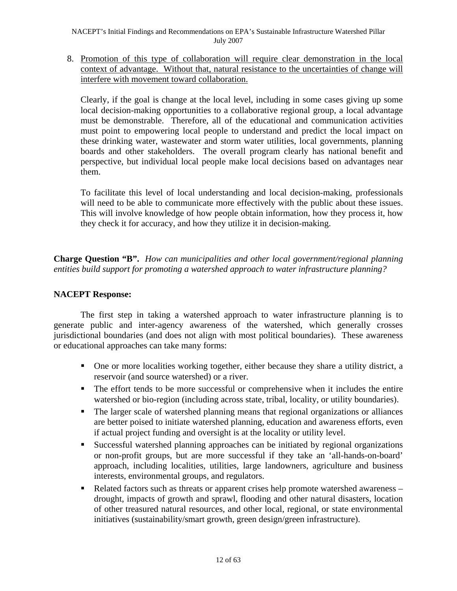8. Promotion of this type of collaboration will require clear demonstration in the local context of advantage. Without that, natural resistance to the uncertainties of change will interfere with movement toward collaboration.

Clearly, if the goal is change at the local level, including in some cases giving up some local decision-making opportunities to a collaborative regional group, a local advantage must be demonstrable. Therefore, all of the educational and communication activities must point to empowering local people to understand and predict the local impact on these drinking water, wastewater and storm water utilities, local governments, planning boards and other stakeholders. The overall program clearly has national benefit and perspective, but individual local people make local decisions based on advantages near them.

To facilitate this level of local understanding and local decision-making, professionals will need to be able to communicate more effectively with the public about these issues. This will involve knowledge of how people obtain information, how they process it, how they check it for accuracy, and how they utilize it in decision-making.

**Charge Question "B".** *How can municipalities and other local government/regional planning entities build support for promoting a watershed approach to water infrastructure planning?*

#### **NACEPT Response:**

 The first step in taking a watershed approach to water infrastructure planning is to generate public and inter-agency awareness of the watershed, which generally crosses jurisdictional boundaries (and does not align with most political boundaries). These awareness or educational approaches can take many forms:

- One or more localities working together, either because they share a utility district, a reservoir (and source watershed) or a river.
- The effort tends to be more successful or comprehensive when it includes the entire watershed or bio-region (including across state, tribal, locality, or utility boundaries).
- The larger scale of watershed planning means that regional organizations or alliances are better poised to initiate watershed planning, education and awareness efforts, even if actual project funding and oversight is at the locality or utility level.
- Successful watershed planning approaches can be initiated by regional organizations or non-profit groups, but are more successful if they take an 'all-hands-on-board' approach, including localities, utilities, large landowners, agriculture and business interests, environmental groups, and regulators.
- Related factors such as threats or apparent crises help promote watershed awareness drought, impacts of growth and sprawl, flooding and other natural disasters, location of other treasured natural resources, and other local, regional, or state environmental initiatives (sustainability/smart growth, green design/green infrastructure).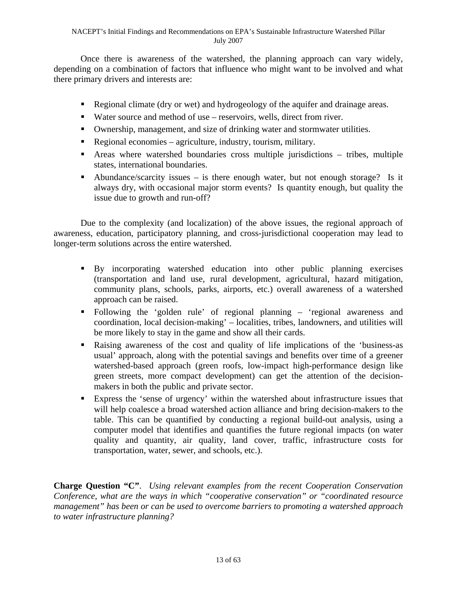Once there is awareness of the watershed, the planning approach can vary widely, depending on a combination of factors that influence who might want to be involved and what there primary drivers and interests are:

- Regional climate (dry or wet) and hydrogeology of the aquifer and drainage areas.
- Water source and method of use reservoirs, wells, direct from river.
- Ownership, management, and size of drinking water and stormwater utilities.
- Regional economies agriculture, industry, tourism, military.
- Areas where watershed boundaries cross multiple jurisdictions tribes, multiple states, international boundaries.
- Abundance/scarcity issues is there enough water, but not enough storage? Is it always dry, with occasional major storm events? Is quantity enough, but quality the issue due to growth and run-off?

Due to the complexity (and localization) of the above issues, the regional approach of awareness, education, participatory planning, and cross-jurisdictional cooperation may lead to longer-term solutions across the entire watershed.

- By incorporating watershed education into other public planning exercises (transportation and land use, rural development, agricultural, hazard mitigation, community plans, schools, parks, airports, etc.) overall awareness of a watershed approach can be raised.
- Following the 'golden rule' of regional planning 'regional awareness and coordination, local decision-making' – localities, tribes, landowners, and utilities will be more likely to stay in the game and show all their cards.
- Raising awareness of the cost and quality of life implications of the 'business-as usual' approach, along with the potential savings and benefits over time of a greener watershed-based approach (green roofs, low-impact high-performance design like green streets, more compact development) can get the attention of the decisionmakers in both the public and private sector.
- Express the 'sense of urgency' within the watershed about infrastructure issues that will help coalesce a broad watershed action alliance and bring decision-makers to the table. This can be quantified by conducting a regional build-out analysis, using a computer model that identifies and quantifies the future regional impacts (on water quality and quantity, air quality, land cover, traffic, infrastructure costs for transportation, water, sewer, and schools, etc.).

**Charge Question "C"**. *Using relevant examples from the recent Cooperation Conservation Conference, what are the ways in which "cooperative conservation" or "coordinated resource management" has been or can be used to overcome barriers to promoting a watershed approach to water infrastructure planning?*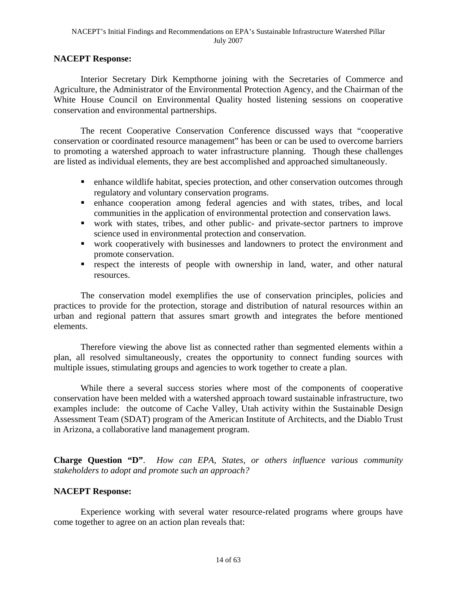#### **NACEPT Response:**

Interior Secretary Dirk Kempthorne joining with the Secretaries of Commerce and Agriculture, the Administrator of the Environmental Protection Agency, and the Chairman of the White House Council on Environmental Quality hosted listening sessions on cooperative conservation and environmental partnerships.

The recent Cooperative Conservation Conference discussed ways that "cooperative conservation or coordinated resource management" has been or can be used to overcome barriers to promoting a watershed approach to water infrastructure planning. Though these challenges are listed as individual elements, they are best accomplished and approached simultaneously.

- **EXECUTE:** enhance wildlife habitat, species protection, and other conservation outcomes through regulatory and voluntary conservation programs.
- enhance cooperation among federal agencies and with states, tribes, and local communities in the application of environmental protection and conservation laws.
- work with states, tribes, and other public- and private-sector partners to improve science used in environmental protection and conservation.
- work cooperatively with businesses and landowners to protect the environment and promote conservation.
- respect the interests of people with ownership in land, water, and other natural resources.

The conservation model exemplifies the use of conservation principles, policies and practices to provide for the protection, storage and distribution of natural resources within an urban and regional pattern that assures smart growth and integrates the before mentioned elements.

Therefore viewing the above list as connected rather than segmented elements within a plan, all resolved simultaneously, creates the opportunity to connect funding sources with multiple issues, stimulating groups and agencies to work together to create a plan.

While there a several success stories where most of the components of cooperative conservation have been melded with a watershed approach toward sustainable infrastructure, two examples include: the outcome of Cache Valley, Utah activity within the Sustainable Design Assessment Team (SDAT) program of the American Institute of Architects, and the Diablo Trust in Arizona, a collaborative land management program.

**Charge Question "D"**. *How can EPA, States, or others influence various community stakeholders to adopt and promote such an approach?*

#### **NACEPT Response:**

Experience working with several water resource-related programs where groups have come together to agree on an action plan reveals that: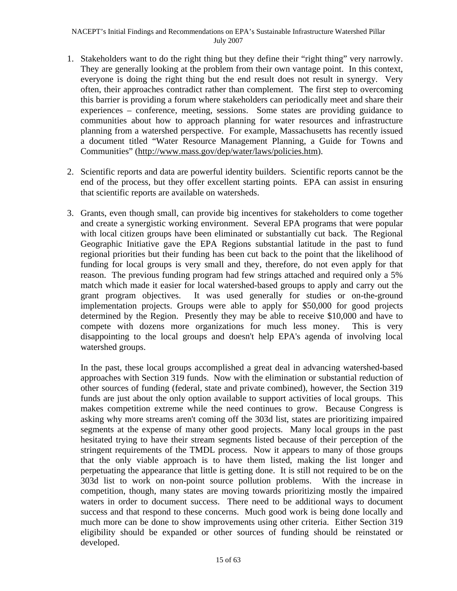#### NACEPT's Initial Findings and Recommendations on EPA's Sustainable Infrastructure Watershed Pillar July 2007

- 1. Stakeholders want to do the right thing but they define their "right thing" very narrowly. They are generally looking at the problem from their own vantage point. In this context, everyone is doing the right thing but the end result does not result in synergy. Very often, their approaches contradict rather than complement. The first step to overcoming this barrier is providing a forum where stakeholders can periodically meet and share their experiences – conference, meeting, sessions. Some states are providing guidance to communities about how to approach planning for water resources and infrastructure planning from a watershed perspective. For example, Massachusetts has recently issued a document titled "Water Resource Management Planning, a Guide for Towns and Communities" [\(http://www.mass.gov/dep/water/laws/policies.htm\)](http://www.mass.gov/dep/water/laws/policies.htm).
- 2. Scientific reports and data are powerful identity builders. Scientific reports cannot be the end of the process, but they offer excellent starting points. EPA can assist in ensuring that scientific reports are available on watersheds.
- 3. Grants, even though small, can provide big incentives for stakeholders to come together and create a synergistic working environment. Several EPA programs that were popular with local citizen groups have been eliminated or substantially cut back. The Regional Geographic Initiative gave the EPA Regions substantial latitude in the past to fund regional priorities but their funding has been cut back to the point that the likelihood of funding for local groups is very small and they, therefore, do not even apply for that reason. The previous funding program had few strings attached and required only a 5% match which made it easier for local watershed-based groups to apply and carry out the grant program objectives. It was used generally for studies or on-the-ground implementation projects. Groups were able to apply for \$50,000 for good projects determined by the Region. Presently they may be able to receive \$10,000 and have to compete with dozens more organizations for much less money. This is very disappointing to the local groups and doesn't help EPA's agenda of involving local watershed groups.

In the past, these local groups accomplished a great deal in advancing watershed-based approaches with Section 319 funds. Now with the elimination or substantial reduction of other sources of funding (federal, state and private combined), however, the Section 319 funds are just about the only option available to support activities of local groups. This makes competition extreme while the need continues to grow. Because Congress is asking why more streams aren't coming off the 303d list, states are prioritizing impaired segments at the expense of many other good projects. Many local groups in the past hesitated trying to have their stream segments listed because of their perception of the stringent requirements of the TMDL process. Now it appears to many of those groups that the only viable approach is to have them listed, making the list longer and perpetuating the appearance that little is getting done. It is still not required to be on the 303d list to work on non-point source pollution problems. With the increase in competition, though, many states are moving towards prioritizing mostly the impaired waters in order to document success. There need to be additional ways to document success and that respond to these concerns. Much good work is being done locally and much more can be done to show improvements using other criteria. Either Section 319 eligibility should be expanded or other sources of funding should be reinstated or developed.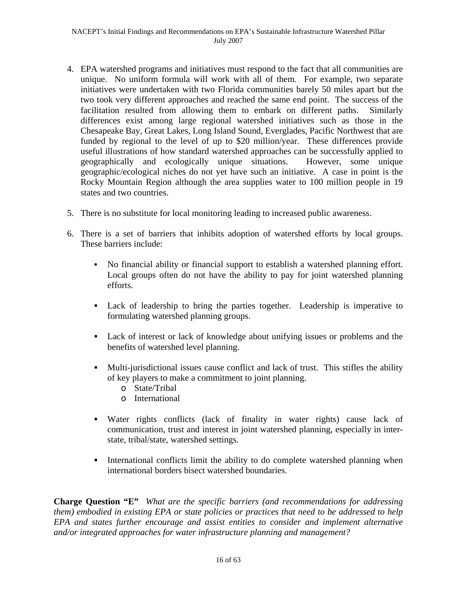- 4. EPA watershed programs and initiatives must respond to the fact that all communities are unique. No uniform formula will work with all of them. For example, two separate initiatives were undertaken with two Florida communities barely 50 miles apart but the two took very different approaches and reached the same end point. The success of the facilitation resulted from allowing them to embark on different paths. Similarly differences exist among large regional watershed initiatives such as those in the Chesapeake Bay, Great Lakes, Long Island Sound, Everglades, Pacific Northwest that are funded by regional to the level of up to \$20 million/year. These differences provide useful illustrations of how standard watershed approaches can be successfully applied to geographically and ecologically unique situations. However, some unique geographic/ecological niches do not yet have such an initiative. A case in point is the Rocky Mountain Region although the area supplies water to 100 million people in 19 states and two countries.
- 5. There is no substitute for local monitoring leading to increased public awareness.
- 6. There is a set of barriers that inhibits adoption of watershed efforts by local groups. These barriers include:
	- No financial ability or financial support to establish a watershed planning effort. Local groups often do not have the ability to pay for joint watershed planning efforts.
	- Lack of leadership to bring the parties together. Leadership is imperative to formulating watershed planning groups.
	- Lack of interest or lack of knowledge about unifying issues or problems and the benefits of watershed level planning.
	- Multi-jurisdictional issues cause conflict and lack of trust. This stifles the ability of key players to make a commitment to joint planning.
		- o State/Tribal
		- o International
	- Water rights conflicts (lack of finality in water rights) cause lack of communication, trust and interest in joint watershed planning, especially in interstate, tribal/state, watershed settings.
	- International conflicts limit the ability to do complete watershed planning when international borders bisect watershed boundaries.

**Charge Question "E"** *What are the specific barriers (and recommendations for addressing them) embodied in existing EPA or state policies or practices that need to be addressed to help EPA and states further encourage and assist entities to consider and implement alternative and/or integrated approaches for water infrastructure planning and management?*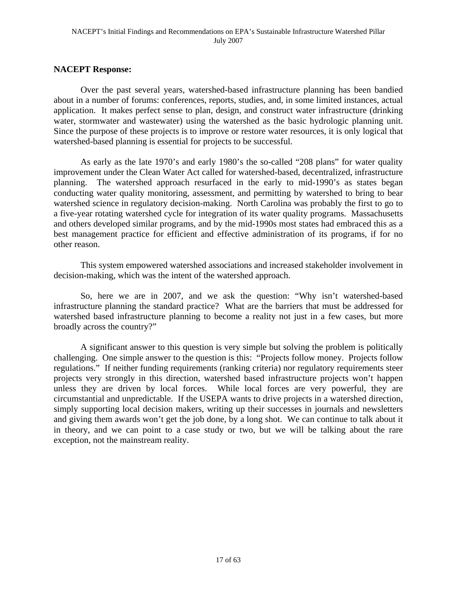#### **NACEPT Response:**

Over the past several years, watershed-based infrastructure planning has been bandied about in a number of forums: conferences, reports, studies, and, in some limited instances, actual application. It makes perfect sense to plan, design, and construct water infrastructure (drinking water, stormwater and wastewater) using the watershed as the basic hydrologic planning unit. Since the purpose of these projects is to improve or restore water resources, it is only logical that watershed-based planning is essential for projects to be successful.

As early as the late 1970's and early 1980's the so-called "208 plans" for water quality improvement under the Clean Water Act called for watershed-based, decentralized, infrastructure planning. The watershed approach resurfaced in the early to mid-1990's as states began conducting water quality monitoring, assessment, and permitting by watershed to bring to bear watershed science in regulatory decision-making. North Carolina was probably the first to go to a five-year rotating watershed cycle for integration of its water quality programs. Massachusetts and others developed similar programs, and by the mid-1990s most states had embraced this as a best management practice for efficient and effective administration of its programs, if for no other reason.

This system empowered watershed associations and increased stakeholder involvement in decision-making, which was the intent of the watershed approach.

So, here we are in 2007, and we ask the question: "Why isn't watershed-based infrastructure planning the standard practice? What are the barriers that must be addressed for watershed based infrastructure planning to become a reality not just in a few cases, but more broadly across the country?"

A significant answer to this question is very simple but solving the problem is politically challenging. One simple answer to the question is this: "Projects follow money. Projects follow regulations." If neither funding requirements (ranking criteria) nor regulatory requirements steer projects very strongly in this direction, watershed based infrastructure projects won't happen unless they are driven by local forces. While local forces are very powerful, they are circumstantial and unpredictable. If the USEPA wants to drive projects in a watershed direction, simply supporting local decision makers, writing up their successes in journals and newsletters and giving them awards won't get the job done, by a long shot. We can continue to talk about it in theory, and we can point to a case study or two, but we will be talking about the rare exception, not the mainstream reality.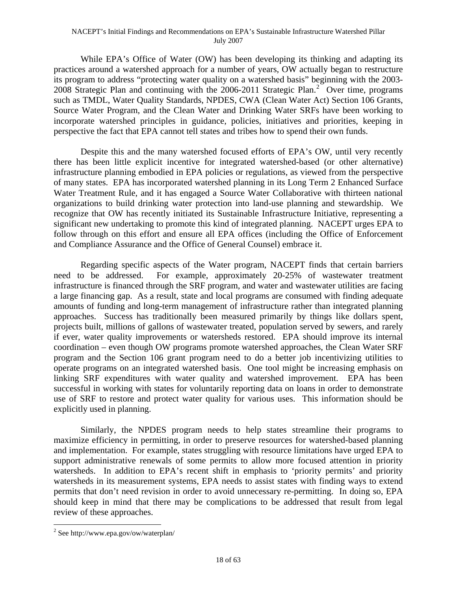#### NACEPT's Initial Findings and Recommendations on EPA's Sustainable Infrastructure Watershed Pillar July 2007

While EPA's Office of Water (OW) has been developing its thinking and adapting its practices around a watershed approach for a number of years, OW actually began to restructure its program to address "protecting water quality on a watershed basis" beginning with the 2003- [2](#page-21-0)008 Strategic Plan and continuing with the 2006-2011 Strategic Plan.<sup>2</sup> Over time, programs such as TMDL, Water Quality Standards, NPDES, CWA (Clean Water Act) Section 106 Grants, Source Water Program, and the Clean Water and Drinking Water SRFs have been working to incorporate watershed principles in guidance, policies, initiatives and priorities, keeping in perspective the fact that EPA cannot tell states and tribes how to spend their own funds.

Despite this and the many watershed focused efforts of EPA's OW, until very recently there has been little explicit incentive for integrated watershed-based (or other alternative) infrastructure planning embodied in EPA policies or regulations, as viewed from the perspective of many states. EPA has incorporated watershed planning in its Long Term 2 Enhanced Surface Water Treatment Rule, and it has engaged a Source Water Collaborative with thirteen national organizations to build drinking water protection into land-use planning and stewardship. We recognize that OW has recently initiated its Sustainable Infrastructure Initiative, representing a significant new undertaking to promote this kind of integrated planning. NACEPT urges EPA to follow through on this effort and ensure all EPA offices (including the Office of Enforcement and Compliance Assurance and the Office of General Counsel) embrace it.

Regarding specific aspects of the Water program, NACEPT finds that certain barriers need to be addressed. For example, approximately 20-25% of wastewater treatment infrastructure is financed through the SRF program, and water and wastewater utilities are facing a large financing gap. As a result, state and local programs are consumed with finding adequate amounts of funding and long-term management of infrastructure rather than integrated planning approaches. Success has traditionally been measured primarily by things like dollars spent, projects built, millions of gallons of wastewater treated, population served by sewers, and rarely if ever, water quality improvements or watersheds restored. EPA should improve its internal coordination – even though OW programs promote watershed approaches, the Clean Water SRF program and the Section 106 grant program need to do a better job incentivizing utilities to operate programs on an integrated watershed basis. One tool might be increasing emphasis on linking SRF expenditures with water quality and watershed improvement. EPA has been successful in working with states for voluntarily reporting data on loans in order to demonstrate use of SRF to restore and protect water quality for various uses. This information should be explicitly used in planning.

Similarly, the NPDES program needs to help states streamline their programs to maximize efficiency in permitting, in order to preserve resources for watershed-based planning and implementation. For example, states struggling with resource limitations have urged EPA to support administrative renewals of some permits to allow more focused attention in priority watersheds. In addition to EPA's recent shift in emphasis to 'priority permits' and priority watersheds in its measurement systems, EPA needs to assist states with finding ways to extend permits that don't need revision in order to avoid unnecessary re-permitting. In doing so, EPA should keep in mind that there may be complications to be addressed that result from legal review of these approaches.

<span id="page-21-0"></span> 2 See http://www.epa.gov/ow/waterplan/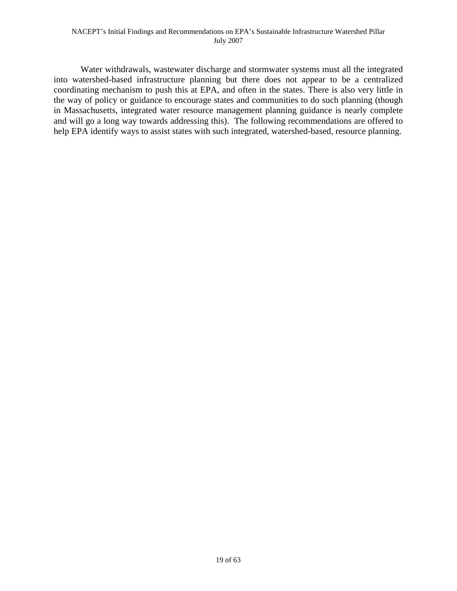Water withdrawals, wastewater discharge and stormwater systems must all the integrated into watershed-based infrastructure planning but there does not appear to be a centralized coordinating mechanism to push this at EPA, and often in the states. There is also very little in the way of policy or guidance to encourage states and communities to do such planning (though in Massachusetts, integrated water resource management planning guidance is nearly complete and will go a long way towards addressing this). The following recommendations are offered to help EPA identify ways to assist states with such integrated, watershed-based, resource planning.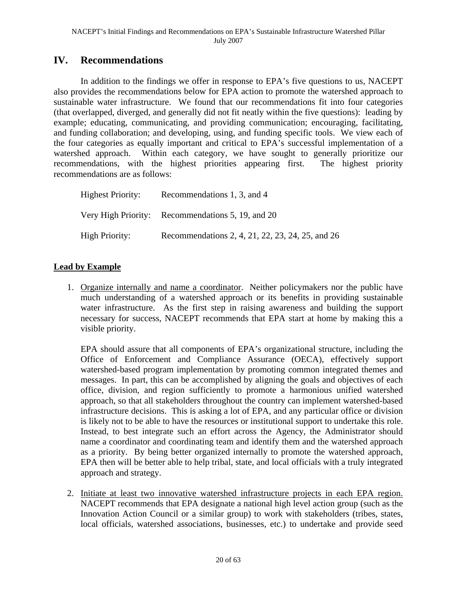#### **IV. Recommendations**

In addition to the findings we offer in response to EPA's five questions to us, NACEPT also provides the recommendations below for EPA action to promote the watershed approach to sustainable water infrastructure. We found that our recommendations fit into four categories (that overlapped, diverged, and generally did not fit neatly within the five questions): leading by example; educating, communicating, and providing communication; encouraging, facilitating, and funding collaboration; and developing, using, and funding specific tools. We view each of the four categories as equally important and critical to EPA's successful implementation of a watershed approach. Within each category, we have sought to generally prioritize our recommendations, with the highest priorities appearing first. The highest priority recommendations are as follows:

| Highest Priority: | Recommendations 1, 3, and 4                       |
|-------------------|---------------------------------------------------|
|                   | Very High Priority: Recommendations 5, 19, and 20 |
| High Priority:    | Recommendations 2, 4, 21, 22, 23, 24, 25, and 26  |

#### **Lead by Example**

1. Organize internally and name a coordinator. Neither policymakers nor the public have much understanding of a watershed approach or its benefits in providing sustainable water infrastructure. As the first step in raising awareness and building the support necessary for success, NACEPT recommends that EPA start at home by making this a visible priority.

EPA should assure that all components of EPA's organizational structure, including the Office of Enforcement and Compliance Assurance (OECA), effectively support watershed-based program implementation by promoting common integrated themes and messages. In part, this can be accomplished by aligning the goals and objectives of each office, division, and region sufficiently to promote a harmonious unified watershed approach, so that all stakeholders throughout the country can implement watershed-based infrastructure decisions. This is asking a lot of EPA, and any particular office or division is likely not to be able to have the resources or institutional support to undertake this role. Instead, to best integrate such an effort across the Agency, the Administrator should name a coordinator and coordinating team and identify them and the watershed approach as a priority. By being better organized internally to promote the watershed approach, EPA then will be better able to help tribal, state, and local officials with a truly integrated approach and strategy.

2. Initiate at least two innovative watershed infrastructure projects in each EPA region. NACEPT recommends that EPA designate a national high level action group (such as the Innovation Action Council or a similar group) to work with stakeholders (tribes, states, local officials, watershed associations, businesses, etc.) to undertake and provide seed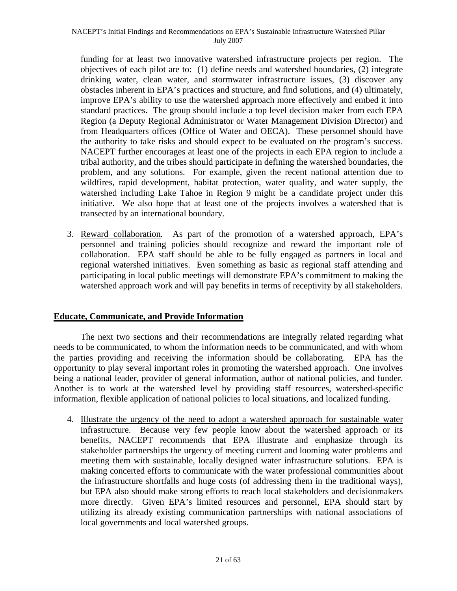funding for at least two innovative watershed infrastructure projects per region. The objectives of each pilot are to: (1) define needs and watershed boundaries, (2) integrate drinking water, clean water, and stormwater infrastructure issues, (3) discover any obstacles inherent in EPA's practices and structure, and find solutions, and (4) ultimately, improve EPA's ability to use the watershed approach more effectively and embed it into standard practices. The group should include a top level decision maker from each EPA Region (a Deputy Regional Administrator or Water Management Division Director) and from Headquarters offices (Office of Water and OECA). These personnel should have the authority to take risks and should expect to be evaluated on the program's success. NACEPT further encourages at least one of the projects in each EPA region to include a tribal authority, and the tribes should participate in defining the watershed boundaries, the problem, and any solutions. For example, given the recent national attention due to wildfires, rapid development, habitat protection, water quality, and water supply, the watershed including Lake Tahoe in Region 9 might be a candidate project under this initiative. We also hope that at least one of the projects involves a watershed that is transected by an international boundary.

3. Reward collaboration. As part of the promotion of a watershed approach, EPA's personnel and training policies should recognize and reward the important role of collaboration. EPA staff should be able to be fully engaged as partners in local and regional watershed initiatives. Even something as basic as regional staff attending and participating in local public meetings will demonstrate EPA's commitment to making the watershed approach work and will pay benefits in terms of receptivity by all stakeholders.

#### **Educate, Communicate, and Provide Information**

The next two sections and their recommendations are integrally related regarding what needs to be communicated, to whom the information needs to be communicated, and with whom the parties providing and receiving the information should be collaborating. EPA has the opportunity to play several important roles in promoting the watershed approach. One involves being a national leader, provider of general information, author of national policies, and funder. Another is to work at the watershed level by providing staff resources, watershed-specific information, flexible application of national policies to local situations, and localized funding.

4. Illustrate the urgency of the need to adopt a watershed approach for sustainable water infrastructure. Because very few people know about the watershed approach or its benefits, NACEPT recommends that EPA illustrate and emphasize through its stakeholder partnerships the urgency of meeting current and looming water problems and meeting them with sustainable, locally designed water infrastructure solutions. EPA is making concerted efforts to communicate with the water professional communities about the infrastructure shortfalls and huge costs (of addressing them in the traditional ways), but EPA also should make strong efforts to reach local stakeholders and decisionmakers more directly. Given EPA's limited resources and personnel, EPA should start by utilizing its already existing communication partnerships with national associations of local governments and local watershed groups.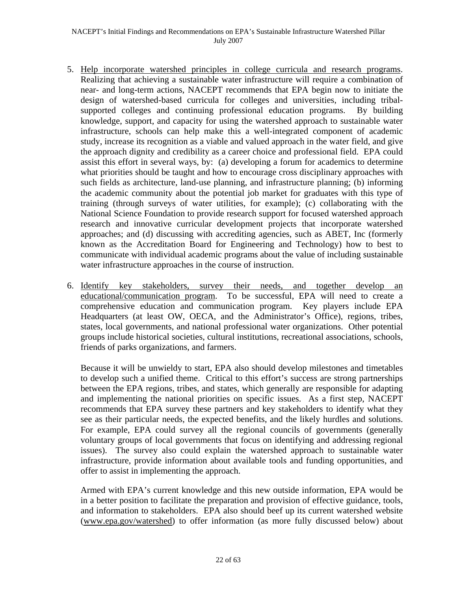- 5. Help incorporate watershed principles in college curricula and research programs. Realizing that achieving a sustainable water infrastructure will require a combination of near- and long-term actions, NACEPT recommends that EPA begin now to initiate the design of watershed-based curricula for colleges and universities, including tribalsupported colleges and continuing professional education programs. By building knowledge, support, and capacity for using the watershed approach to sustainable water infrastructure, schools can help make this a well-integrated component of academic study, increase its recognition as a viable and valued approach in the water field, and give the approach dignity and credibility as a career choice and professional field. EPA could assist this effort in several ways, by: (a) developing a forum for academics to determine what priorities should be taught and how to encourage cross disciplinary approaches with such fields as architecture, land-use planning, and infrastructure planning; (b) informing the academic community about the potential job market for graduates with this type of training (through surveys of water utilities, for example); (c) collaborating with the National Science Foundation to provide research support for focused watershed approach research and innovative curricular development projects that incorporate watershed approaches; and (d) discussing with accrediting agencies, such as ABET, Inc (formerly known as the Accreditation Board for Engineering and Technology) how to best to communicate with individual academic programs about the value of including sustainable water infrastructure approaches in the course of instruction.
- 6. Identify key stakeholders, survey their needs, and together develop an educational/communication program. To be successful, EPA will need to create a comprehensive education and communication program. Key players include EPA Headquarters (at least OW, OECA, and the Administrator's Office), regions, tribes, states, local governments, and national professional water organizations. Other potential groups include historical societies, cultural institutions, recreational associations, schools, friends of parks organizations, and farmers.

Because it will be unwieldy to start, EPA also should develop milestones and timetables to develop such a unified theme. Critical to this effort's success are strong partnerships between the EPA regions, tribes, and states, which generally are responsible for adapting and implementing the national priorities on specific issues. As a first step, NACEPT recommends that EPA survey these partners and key stakeholders to identify what they see as their particular needs, the expected benefits, and the likely hurdles and solutions. For example, EPA could survey all the regional councils of governments (generally voluntary groups of local governments that focus on identifying and addressing regional issues). The survey also could explain the watershed approach to sustainable water infrastructure, provide information about available tools and funding opportunities, and offer to assist in implementing the approach.

Armed with EPA's current knowledge and this new outside information, EPA would be in a better position to facilitate the preparation and provision of effective guidance, tools, and information to stakeholders. EPA also should beef up its current watershed website ([www.epa.gov/watershed\)](http://www.epa.gov/watershed) to offer information (as more fully discussed below) about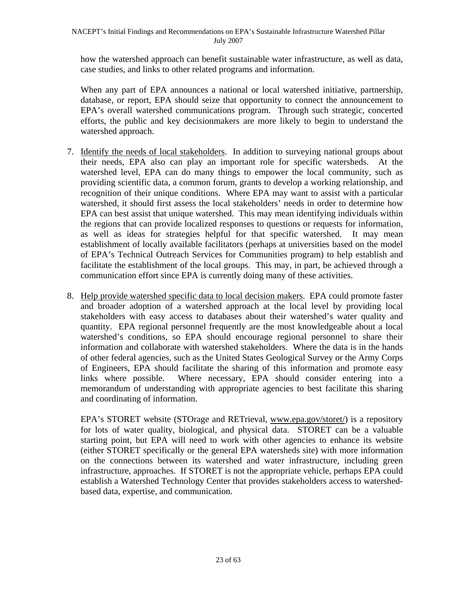how the watershed approach can benefit sustainable water infrastructure, as well as data, case studies, and links to other related programs and information.

When any part of EPA announces a national or local watershed initiative, partnership, database, or report, EPA should seize that opportunity to connect the announcement to EPA's overall watershed communications program. Through such strategic, concerted efforts, the public and key decisionmakers are more likely to begin to understand the watershed approach.

- 7. Identify the needs of local stakeholders. In addition to surveying national groups about their needs, EPA also can play an important role for specific watersheds. At the watershed level, EPA can do many things to empower the local community, such as providing scientific data, a common forum, grants to develop a working relationship, and recognition of their unique conditions. Where EPA may want to assist with a particular watershed, it should first assess the local stakeholders' needs in order to determine how EPA can best assist that unique watershed. This may mean identifying individuals within the regions that can provide localized responses to questions or requests for information, as well as ideas for strategies helpful for that specific watershed. It may mean establishment of locally available facilitators (perhaps at universities based on the model of EPA's Technical Outreach Services for Communities program) to help establish and facilitate the establishment of the local groups. This may, in part, be achieved through a communication effort since EPA is currently doing many of these activities.
- 8. Help provide watershed specific data to local decision makers. EPA could promote faster and broader adoption of a watershed approach at the local level by providing local stakeholders with easy access to databases about their watershed's water quality and quantity. EPA regional personnel frequently are the most knowledgeable about a local watershed's conditions, so EPA should encourage regional personnel to share their information and collaborate with watershed stakeholders. Where the data is in the hands of other federal agencies, such as the United States Geological Survey or the Army Corps of Engineers, EPA should facilitate the sharing of this information and promote easy links where possible. Where necessary, EPA should consider entering into a memorandum of understanding with appropriate agencies to best facilitate this sharing and coordinating of information.

EPA's STORET website (STOrage and RETrieval, [www.epa.gov/storet/](http://www.epa.gov/storet/)) is a repository for lots of water quality, biological, and physical data. STORET can be a valuable starting point, but EPA will need to work with other agencies to enhance its website (either STORET specifically or the general EPA watersheds site) with more information on the connections between its watershed and water infrastructure, including green infrastructure, approaches. If STORET is not the appropriate vehicle, perhaps EPA could establish a Watershed Technology Center that provides stakeholders access to watershedbased data, expertise, and communication.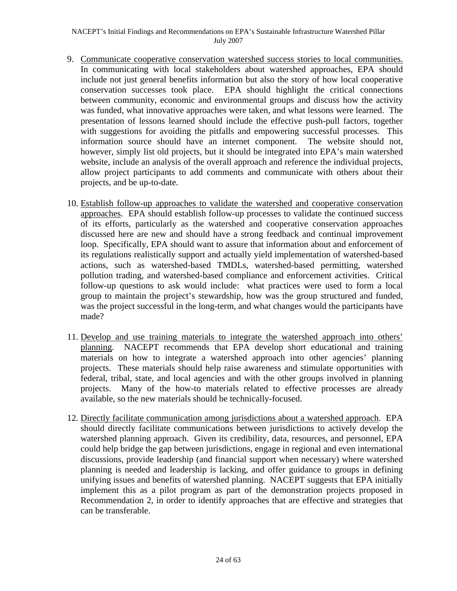#### NACEPT's Initial Findings and Recommendations on EPA's Sustainable Infrastructure Watershed Pillar July 2007

- 9. Communicate cooperative conservation watershed success stories to local communities. In communicating with local stakeholders about watershed approaches, EPA should include not just general benefits information but also the story of how local cooperative conservation successes took place. EPA should highlight the critical connections between community, economic and environmental groups and discuss how the activity was funded, what innovative approaches were taken, and what lessons were learned. The presentation of lessons learned should include the effective push-pull factors, together with suggestions for avoiding the pitfalls and empowering successful processes. This information source should have an internet component. The website should not, however, simply list old projects, but it should be integrated into EPA's main watershed website, include an analysis of the overall approach and reference the individual projects, allow project participants to add comments and communicate with others about their projects, and be up-to-date.
- 10. Establish follow-up approaches to validate the watershed and cooperative conservation approaches. EPA should establish follow-up processes to validate the continued success of its efforts, particularly as the watershed and cooperative conservation approaches discussed here are new and should have a strong feedback and continual improvement loop. Specifically, EPA should want to assure that information about and enforcement of its regulations realistically support and actually yield implementation of watershed-based actions, such as watershed-based TMDLs, watershed-based permitting, watershed pollution trading, and watershed-based compliance and enforcement activities. Critical follow-up questions to ask would include: what practices were used to form a local group to maintain the project's stewardship, how was the group structured and funded, was the project successful in the long-term, and what changes would the participants have made?
- 11. Develop and use training materials to integrate the watershed approach into others' planning. NACEPT recommends that EPA develop short educational and training materials on how to integrate a watershed approach into other agencies' planning projects. These materials should help raise awareness and stimulate opportunities with federal, tribal, state, and local agencies and with the other groups involved in planning projects. Many of the how-to materials related to effective processes are already available, so the new materials should be technically-focused.
- 12. Directly facilitate communication among jurisdictions about a watershed approach. EPA should directly facilitate communications between jurisdictions to actively develop the watershed planning approach. Given its credibility, data, resources, and personnel, EPA could help bridge the gap between jurisdictions, engage in regional and even international discussions, provide leadership (and financial support when necessary) where watershed planning is needed and leadership is lacking, and offer guidance to groups in defining unifying issues and benefits of watershed planning. NACEPT suggests that EPA initially implement this as a pilot program as part of the demonstration projects proposed in Recommendation 2, in order to identify approaches that are effective and strategies that can be transferable.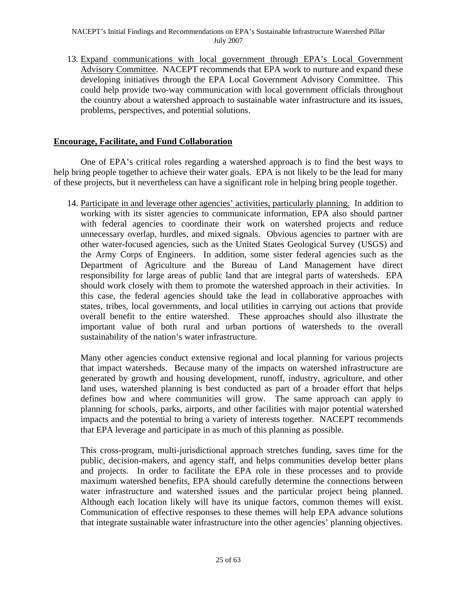13. Expand communications with local government through EPA's Local Government Advisory Committee. NACEPT recommends that EPA work to nurture and expand these developing initiatives through the EPA Local Government Advisory Committee. This could help provide two-way communication with local government officials throughout the country about a watershed approach to sustainable water infrastructure and its issues, problems, perspectives, and potential solutions.

#### **Encourage, Facilitate, and Fund Collaboration**

One of EPA's critical roles regarding a watershed approach is to find the best ways to help bring people together to achieve their water goals. EPA is not likely to be the lead for many of these projects, but it nevertheless can have a significant role in helping bring people together.

14. Participate in and leverage other agencies' activities, particularly planning. In addition to working with its sister agencies to communicate information, EPA also should partner with federal agencies to coordinate their work on watershed projects and reduce unnecessary overlap, hurdles, and mixed signals. Obvious agencies to partner with are other water-focused agencies, such as the United States Geological Survey (USGS) and the Army Corps of Engineers. In addition, some sister federal agencies such as the Department of Agriculture and the Bureau of Land Management have direct responsibility for large areas of public land that are integral parts of watersheds. EPA should work closely with them to promote the watershed approach in their activities. In this case, the federal agencies should take the lead in collaborative approaches with states, tribes, local governments, and local utilities in carrying out actions that provide overall benefit to the entire watershed. These approaches should also illustrate the important value of both rural and urban portions of watersheds to the overall sustainability of the nation's water infrastructure.

Many other agencies conduct extensive regional and local planning for various projects that impact watersheds. Because many of the impacts on watershed infrastructure are generated by growth and housing development, runoff, industry, agriculture, and other land uses, watershed planning is best conducted as part of a broader effort that helps defines how and where communities will grow. The same approach can apply to planning for schools, parks, airports, and other facilities with major potential watershed impacts and the potential to bring a variety of interests together. NACEPT recommends that EPA leverage and participate in as much of this planning as possible.

This cross-program, multi-jurisdictional approach stretches funding, saves time for the public, decision-makers, and agency staff, and helps communities develop better plans and projects. In order to facilitate the EPA role in these processes and to provide maximum watershed benefits, EPA should carefully determine the connections between water infrastructure and watershed issues and the particular project being planned. Although each location likely will have its unique factors, common themes will exist. Communication of effective responses to these themes will help EPA advance solutions that integrate sustainable water infrastructure into the other agencies' planning objectives.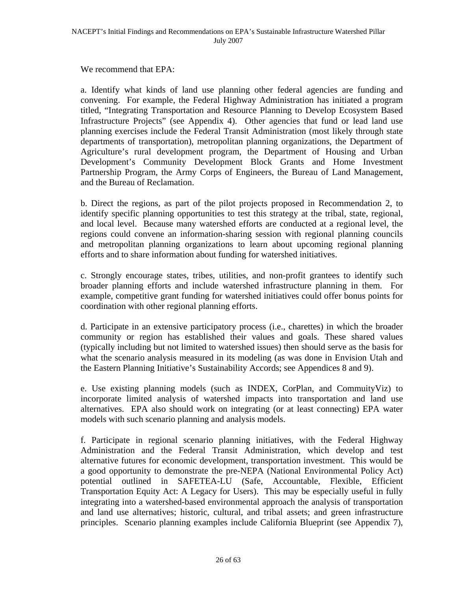We recommend that EPA:

a. Identify what kinds of land use planning other federal agencies are funding and convening. For example, the Federal Highway Administration has initiated a program titled, "Integrating Transportation and Resource Planning to Develop Ecosystem Based Infrastructure Projects" (see Appendix 4). Other agencies that fund or lead land use planning exercises include the Federal Transit Administration (most likely through state departments of transportation), metropolitan planning organizations, the Department of Agriculture's rural development program, the Department of Housing and Urban Development's Community Development Block Grants and Home Investment Partnership Program, the Army Corps of Engineers, the Bureau of Land Management, and the Bureau of Reclamation.

b. Direct the regions, as part of the pilot projects proposed in Recommendation 2, to identify specific planning opportunities to test this strategy at the tribal, state, regional, and local level. Because many watershed efforts are conducted at a regional level, the regions could convene an information-sharing session with regional planning councils and metropolitan planning organizations to learn about upcoming regional planning efforts and to share information about funding for watershed initiatives.

c. Strongly encourage states, tribes, utilities, and non-profit grantees to identify such broader planning efforts and include watershed infrastructure planning in them. For example, competitive grant funding for watershed initiatives could offer bonus points for coordination with other regional planning efforts.

d. Participate in an extensive participatory process (i.e., charettes) in which the broader community or region has established their values and goals. These shared values (typically including but not limited to watershed issues) then should serve as the basis for what the scenario analysis measured in its modeling (as was done in Envision Utah and the Eastern Planning Initiative's Sustainability Accords; see Appendices 8 and 9).

e. Use existing planning models (such as INDEX, CorPlan, and CommuityViz) to incorporate limited analysis of watershed impacts into transportation and land use alternatives. EPA also should work on integrating (or at least connecting) EPA water models with such scenario planning and analysis models.

f. Participate in regional scenario planning initiatives, with the Federal Highway Administration and the Federal Transit Administration, which develop and test alternative futures for economic development, transportation investment. This would be a good opportunity to demonstrate the pre-NEPA (National Environmental Policy Act) potential outlined in SAFETEA-LU (Safe, Accountable, Flexible, Efficient Transportation Equity Act: A Legacy for Users). This may be especially useful in fully integrating into a watershed-based environmental approach the analysis of transportation and land use alternatives; historic, cultural, and tribal assets; and green infrastructure principles. Scenario planning examples include California Blueprint (see Appendix 7),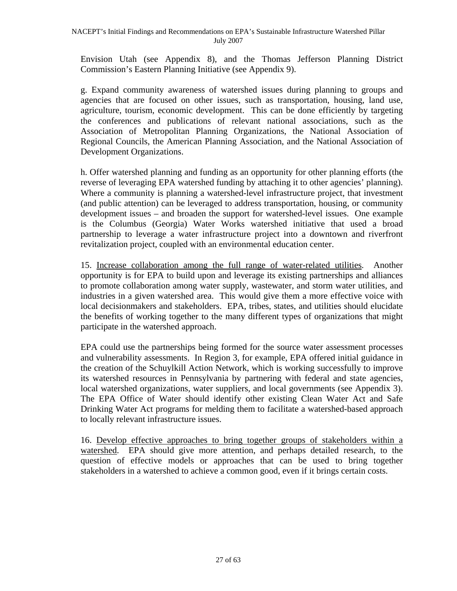Envision Utah (see Appendix 8), and the Thomas Jefferson Planning District Commission's Eastern Planning Initiative (see Appendix 9).

g. Expand community awareness of watershed issues during planning to groups and agencies that are focused on other issues, such as transportation, housing, land use, agriculture, tourism, economic development. This can be done efficiently by targeting the conferences and publications of relevant national associations, such as the Association of Metropolitan Planning Organizations, the National Association of Regional Councils, the American Planning Association, and the National Association of Development Organizations.

h. Offer watershed planning and funding as an opportunity for other planning efforts (the reverse of leveraging EPA watershed funding by attaching it to other agencies' planning). Where a community is planning a watershed-level infrastructure project, that investment (and public attention) can be leveraged to address transportation, housing, or community development issues – and broaden the support for watershed-level issues. One example is the Columbus (Georgia) Water Works watershed initiative that used a broad partnership to leverage a water infrastructure project into a downtown and riverfront revitalization project, coupled with an environmental education center.

15. Increase collaboration among the full range of water-related utilities. Another opportunity is for EPA to build upon and leverage its existing partnerships and alliances to promote collaboration among water supply, wastewater, and storm water utilities, and industries in a given watershed area. This would give them a more effective voice with local decisionmakers and stakeholders. EPA, tribes, states, and utilities should elucidate the benefits of working together to the many different types of organizations that might participate in the watershed approach.

EPA could use the partnerships being formed for the source water assessment processes and vulnerability assessments. In Region 3, for example, EPA offered initial guidance in the creation of the Schuylkill Action Network, which is working successfully to improve its watershed resources in Pennsylvania by partnering with federal and state agencies, local watershed organizations, water suppliers, and local governments (see Appendix 3). The EPA Office of Water should identify other existing Clean Water Act and Safe Drinking Water Act programs for melding them to facilitate a watershed-based approach to locally relevant infrastructure issues.

16. Develop effective approaches to bring together groups of stakeholders within a watershed. EPA should give more attention, and perhaps detailed research, to the question of effective models or approaches that can be used to bring together stakeholders in a watershed to achieve a common good, even if it brings certain costs.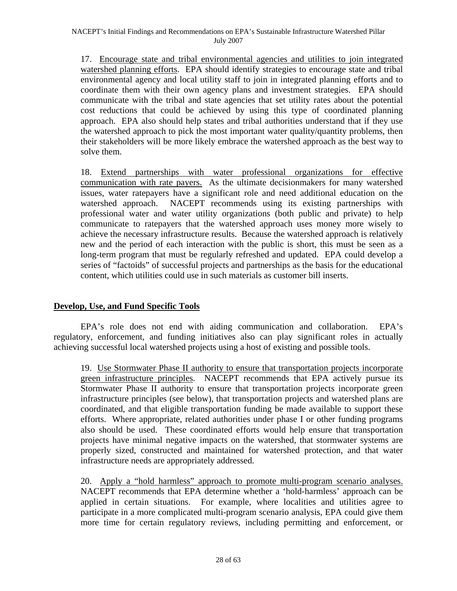17. Encourage state and tribal environmental agencies and utilities to join integrated watershed planning efforts. EPA should identify strategies to encourage state and tribal environmental agency and local utility staff to join in integrated planning efforts and to coordinate them with their own agency plans and investment strategies. EPA should communicate with the tribal and state agencies that set utility rates about the potential cost reductions that could be achieved by using this type of coordinated planning approach. EPA also should help states and tribal authorities understand that if they use the watershed approach to pick the most important water quality/quantity problems, then their stakeholders will be more likely embrace the watershed approach as the best way to solve them.

18. Extend partnerships with water professional organizations for effective communication with rate payers. As the ultimate decisionmakers for many watershed issues, water ratepayers have a significant role and need additional education on the watershed approach. NACEPT recommends using its existing partnerships with professional water and water utility organizations (both public and private) to help communicate to ratepayers that the watershed approach uses money more wisely to achieve the necessary infrastructure results. Because the watershed approach is relatively new and the period of each interaction with the public is short, this must be seen as a long-term program that must be regularly refreshed and updated. EPA could develop a series of "factoids" of successful projects and partnerships as the basis for the educational content, which utilities could use in such materials as customer bill inserts.

#### **Develop, Use, and Fund Specific Tools**

EPA's role does not end with aiding communication and collaboration. EPA's regulatory, enforcement, and funding initiatives also can play significant roles in actually achieving successful local watershed projects using a host of existing and possible tools.

19. Use Stormwater Phase II authority to ensure that transportation projects incorporate green infrastructure principles. NACEPT recommends that EPA actively pursue its Stormwater Phase II authority to ensure that transportation projects incorporate green infrastructure principles (see below), that transportation projects and watershed plans are coordinated, and that eligible transportation funding be made available to support these efforts. Where appropriate, related authorities under phase I or other funding programs also should be used. These coordinated efforts would help ensure that transportation projects have minimal negative impacts on the watershed, that stormwater systems are properly sized, constructed and maintained for watershed protection, and that water infrastructure needs are appropriately addressed.

20. Apply a "hold harmless" approach to promote multi-program scenario analyses. NACEPT recommends that EPA determine whether a 'hold-harmless' approach can be applied in certain situations. For example, where localities and utilities agree to participate in a more complicated multi-program scenario analysis, EPA could give them more time for certain regulatory reviews, including permitting and enforcement, or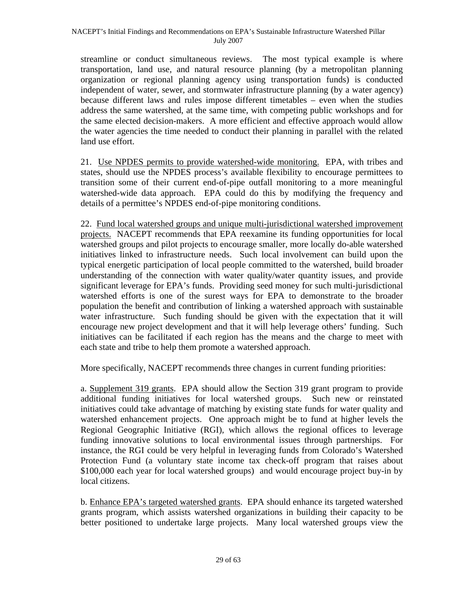streamline or conduct simultaneous reviews. The most typical example is where transportation, land use, and natural resource planning (by a metropolitan planning organization or regional planning agency using transportation funds) is conducted independent of water, sewer, and stormwater infrastructure planning (by a water agency) because different laws and rules impose different timetables – even when the studies address the same watershed, at the same time, with competing public workshops and for the same elected decision-makers. A more efficient and effective approach would allow the water agencies the time needed to conduct their planning in parallel with the related land use effort.

21. Use NPDES permits to provide watershed-wide monitoring. EPA, with tribes and states, should use the NPDES process's available flexibility to encourage permittees to transition some of their current end-of-pipe outfall monitoring to a more meaningful watershed-wide data approach. EPA could do this by modifying the frequency and details of a permittee's NPDES end-of-pipe monitoring conditions.

22. Fund local watershed groups and unique multi-jurisdictional watershed improvement projects. NACEPT recommends that EPA reexamine its funding opportunities for local watershed groups and pilot projects to encourage smaller, more locally do-able watershed initiatives linked to infrastructure needs. Such local involvement can build upon the typical energetic participation of local people committed to the watershed, build broader understanding of the connection with water quality/water quantity issues, and provide significant leverage for EPA's funds. Providing seed money for such multi-jurisdictional watershed efforts is one of the surest ways for EPA to demonstrate to the broader population the benefit and contribution of linking a watershed approach with sustainable water infrastructure. Such funding should be given with the expectation that it will encourage new project development and that it will help leverage others' funding. Such initiatives can be facilitated if each region has the means and the charge to meet with each state and tribe to help them promote a watershed approach.

More specifically, NACEPT recommends three changes in current funding priorities:

a. Supplement 319 grants. EPA should allow the Section 319 grant program to provide additional funding initiatives for local watershed groups. Such new or reinstated initiatives could take advantage of matching by existing state funds for water quality and watershed enhancement projects. One approach might be to fund at higher levels the Regional Geographic Initiative (RGI), which allows the regional offices to leverage funding innovative solutions to local environmental issues through partnerships. For instance, the RGI could be very helpful in leveraging funds from Colorado's Watershed Protection Fund (a voluntary state income tax check-off program that raises about \$100,000 each year for local watershed groups) and would encourage project buy-in by local citizens.

b. Enhance EPA's targeted watershed grants. EPA should enhance its targeted watershed grants program, which assists watershed organizations in building their capacity to be better positioned to undertake large projects. Many local watershed groups view the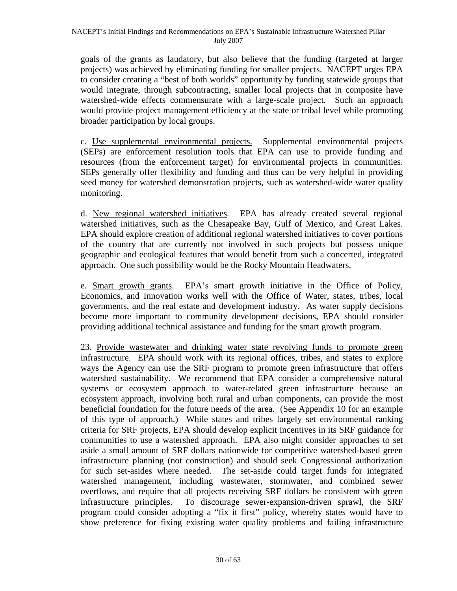goals of the grants as laudatory, but also believe that the funding (targeted at larger projects) was achieved by eliminating funding for smaller projects. NACEPT urges EPA to consider creating a "best of both worlds" opportunity by funding statewide groups that would integrate, through subcontracting, smaller local projects that in composite have watershed-wide effects commensurate with a large-scale project. Such an approach would provide project management efficiency at the state or tribal level while promoting broader participation by local groups.

c. Use supplemental environmental projects. Supplemental environmental projects (SEPs) are enforcement resolution tools that EPA can use to provide funding and resources (from the enforcement target) for environmental projects in communities. SEPs generally offer flexibility and funding and thus can be very helpful in providing seed money for watershed demonstration projects, such as watershed-wide water quality monitoring.

d. New regional watershed initiatives. EPA has already created several regional watershed initiatives, such as the Chesapeake Bay, Gulf of Mexico, and Great Lakes. EPA should explore creation of additional regional watershed initiatives to cover portions of the country that are currently not involved in such projects but possess unique geographic and ecological features that would benefit from such a concerted, integrated approach. One such possibility would be the Rocky Mountain Headwaters.

e. Smart growth grants. EPA's smart growth initiative in the Office of Policy, Economics, and Innovation works well with the Office of Water, states, tribes, local governments, and the real estate and development industry. As water supply decisions become more important to community development decisions, EPA should consider providing additional technical assistance and funding for the smart growth program.

23. Provide wastewater and drinking water state revolving funds to promote green infrastructure. EPA should work with its regional offices, tribes, and states to explore ways the Agency can use the SRF program to promote green infrastructure that offers watershed sustainability. We recommend that EPA consider a comprehensive natural systems or ecosystem approach to water-related green infrastructure because an ecosystem approach, involving both rural and urban components, can provide the most beneficial foundation for the future needs of the area. (See Appendix 10 for an example of this type of approach.) While states and tribes largely set environmental ranking criteria for SRF projects, EPA should develop explicit incentives in its SRF guidance for communities to use a watershed approach. EPA also might consider approaches to set aside a small amount of SRF dollars nationwide for competitive watershed-based green infrastructure planning (not construction) and should seek Congressional authorization for such set-asides where needed. The set-aside could target funds for integrated watershed management, including wastewater, stormwater, and combined sewer overflows, and require that all projects receiving SRF dollars be consistent with green infrastructure principles. To discourage sewer-expansion-driven sprawl, the SRF program could consider adopting a "fix it first" policy, whereby states would have to show preference for fixing existing water quality problems and failing infrastructure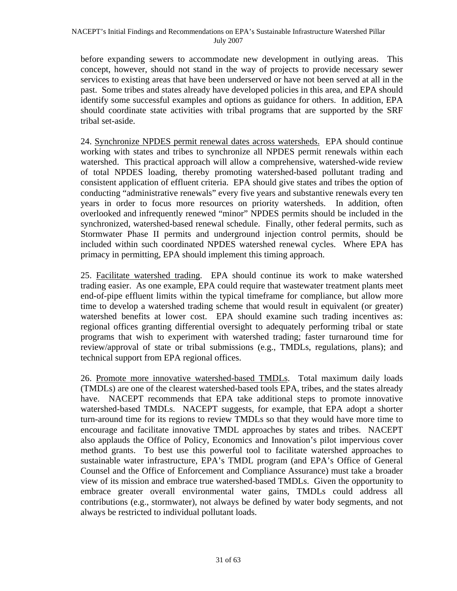before expanding sewers to accommodate new development in outlying areas. This concept, however, should not stand in the way of projects to provide necessary sewer services to existing areas that have been underserved or have not been served at all in the past. Some tribes and states already have developed policies in this area, and EPA should identify some successful examples and options as guidance for others. In addition, EPA should coordinate state activities with tribal programs that are supported by the SRF tribal set-aside.

24. Synchronize NPDES permit renewal dates across watersheds. EPA should continue working with states and tribes to synchronize all NPDES permit renewals within each watershed. This practical approach will allow a comprehensive, watershed-wide review of total NPDES loading, thereby promoting watershed-based pollutant trading and consistent application of effluent criteria. EPA should give states and tribes the option of conducting "administrative renewals" every five years and substantive renewals every ten years in order to focus more resources on priority watersheds. In addition, often overlooked and infrequently renewed "minor" NPDES permits should be included in the synchronized, watershed-based renewal schedule. Finally, other federal permits, such as Stormwater Phase II permits and underground injection control permits, should be included within such coordinated NPDES watershed renewal cycles. Where EPA has primacy in permitting, EPA should implement this timing approach.

25. Facilitate watershed trading.EPA should continue its work to make watershed trading easier. As one example, EPA could require that wastewater treatment plants meet end-of-pipe effluent limits within the typical timeframe for compliance, but allow more time to develop a watershed trading scheme that would result in equivalent (or greater) watershed benefits at lower cost. EPA should examine such trading incentives as: regional offices granting differential oversight to adequately performing tribal or state programs that wish to experiment with watershed trading; faster turnaround time for review/approval of state or tribal submissions (e.g., TMDLs, regulations, plans); and technical support from EPA regional offices.

26. Promote more innovative watershed-based TMDLs. Total maximum daily loads (TMDLs) are one of the clearest watershed-based tools EPA, tribes, and the states already have. NACEPT recommends that EPA take additional steps to promote innovative watershed-based TMDLs. NACEPT suggests, for example, that EPA adopt a shorter turn-around time for its regions to review TMDLs so that they would have more time to encourage and facilitate innovative TMDL approaches by states and tribes. NACEPT also applauds the Office of Policy, Economics and Innovation's pilot impervious cover method grants. To best use this powerful tool to facilitate watershed approaches to sustainable water infrastructure, EPA's TMDL program (and EPA's Office of General Counsel and the Office of Enforcement and Compliance Assurance) must take a broader view of its mission and embrace true watershed-based TMDLs. Given the opportunity to embrace greater overall environmental water gains, TMDLs could address all contributions (e.g., stormwater), not always be defined by water body segments, and not always be restricted to individual pollutant loads.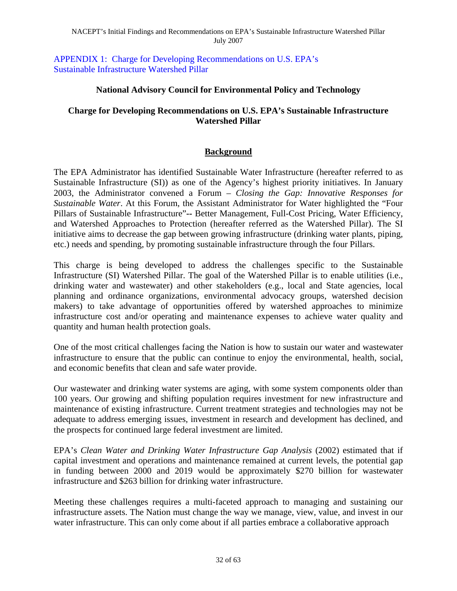#### **National Advisory Council for Environmental Policy and Technology**

#### **Charge for Developing Recommendations on U.S. EPA's Sustainable Infrastructure Watershed Pillar**

#### **Background**

The EPA Administrator has identified Sustainable Water Infrastructure (hereafter referred to as Sustainable Infrastructure (SI)) as one of the Agency's highest priority initiatives. In January 2003, the Administrator convened a Forum – *Closing the Gap: Innovative Responses for Sustainable Water*. At this Forum, the Assistant Administrator for Water highlighted the "Four Pillars of Sustainable Infrastructure"**--** Better Management, Full-Cost Pricing, Water Efficiency, and Watershed Approaches to Protection (hereafter referred as the Watershed Pillar). The SI initiative aims to decrease the gap between growing infrastructure (drinking water plants, piping, etc.) needs and spending, by promoting sustainable infrastructure through the four Pillars.

This charge is being developed to address the challenges specific to the Sustainable Infrastructure (SI) Watershed Pillar. The goal of the Watershed Pillar is to enable utilities (i.e., drinking water and wastewater) and other stakeholders (e.g., local and State agencies, local planning and ordinance organizations, environmental advocacy groups, watershed decision makers) to take advantage of opportunities offered by watershed approaches to minimize infrastructure cost and/or operating and maintenance expenses to achieve water quality and quantity and human health protection goals.

One of the most critical challenges facing the Nation is how to sustain our water and wastewater infrastructure to ensure that the public can continue to enjoy the environmental, health, social, and economic benefits that clean and safe water provide.

Our wastewater and drinking water systems are aging, with some system components older than 100 years. Our growing and shifting population requires investment for new infrastructure and maintenance of existing infrastructure. Current treatment strategies and technologies may not be adequate to address emerging issues, investment in research and development has declined, and the prospects for continued large federal investment are limited.

EPA's *Clean Water and Drinking Water Infrastructure Gap Analysis* (2002) estimated that if capital investment and operations and maintenance remained at current levels, the potential gap in funding between 2000 and 2019 would be approximately \$270 billion for wastewater infrastructure and \$263 billion for drinking water infrastructure.

Meeting these challenges requires a multi-faceted approach to managing and sustaining our infrastructure assets. The Nation must change the way we manage, view, value, and invest in our water infrastructure. This can only come about if all parties embrace a collaborative approach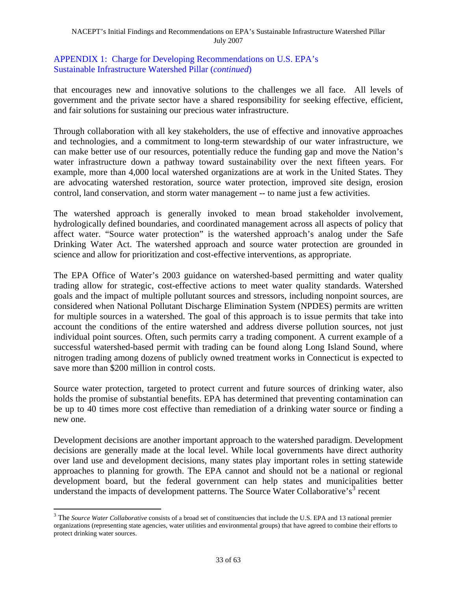that encourages new and innovative solutions to the challenges we all face. All levels of government and the private sector have a shared responsibility for seeking effective, efficient, and fair solutions for sustaining our precious water infrastructure.

Through collaboration with all key stakeholders, the use of effective and innovative approaches and technologies, and a commitment to long-term stewardship of our water infrastructure, we can make better use of our resources, potentially reduce the funding gap and move the Nation's water infrastructure down a pathway toward sustainability over the next fifteen years. For example, more than 4,000 local watershed organizations are at work in the United States. They are advocating watershed restoration, source water protection, improved site design, erosion control, land conservation, and storm water management -- to name just a few activities.

The watershed approach is generally invoked to mean broad stakeholder involvement, hydrologically defined boundaries, and coordinated management across all aspects of policy that affect water. "Source water protection" is the watershed approach's analog under the Safe Drinking Water Act. The watershed approach and source water protection are grounded in science and allow for prioritization and cost-effective interventions, as appropriate.

The EPA Office of Water's 2003 guidance on watershed-based permitting and water quality trading allow for strategic, cost-effective actions to meet water quality standards. Watershed goals and the impact of multiple pollutant sources and stressors, including nonpoint sources, are considered when National Pollutant Discharge Elimination System (NPDES) permits are written for multiple sources in a watershed. The goal of this approach is to issue permits that take into account the conditions of the entire watershed and address diverse pollution sources, not just individual point sources. Often, such permits carry a trading component. A current example of a successful watershed-based permit with trading can be found along Long Island Sound, where nitrogen trading among dozens of publicly owned treatment works in Connecticut is expected to save more than \$200 million in control costs.

Source water protection, targeted to protect current and future sources of drinking water, also holds the promise of substantial benefits. EPA has determined that preventing contamination can be up to 40 times more cost effective than remediation of a drinking water source or finding a new one.

Development decisions are another important approach to the watershed paradigm. Development decisions are generally made at the local level. While local governments have direct authority over land use and development decisions, many states play important roles in setting statewide approaches to planning for growth. The EPA cannot and should not be a national or regional development board, but the federal government can help states and municipalities better understand the impacts of development patterns. The Source Water Collaborative's<sup>[3](#page-36-0)</sup> recent

 $\overline{a}$ 

<span id="page-36-0"></span><sup>&</sup>lt;sup>3</sup> The *Source Water Collaborative* consists of a broad set of constituencies that include the U.S. EPA and 13 national premier organizations (representing state agencies, water utilities and environmental groups) that have agreed to combine their efforts to protect drinking water sources.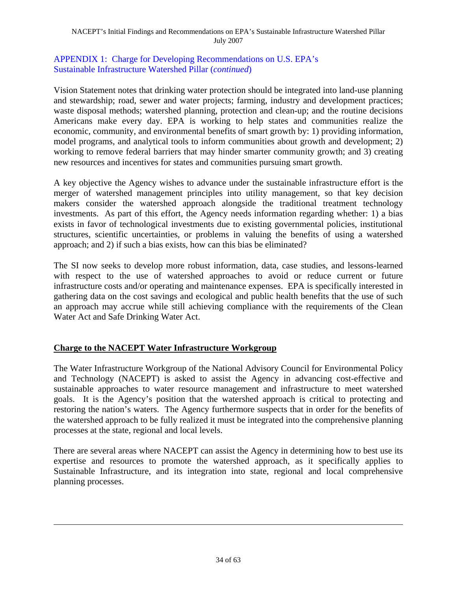Vision Statement notes that drinking water protection should be integrated into land-use planning and stewardship; road, sewer and water projects; farming, industry and development practices; waste disposal methods; watershed planning, protection and clean-up; and the routine decisions Americans make every day. EPA is working to help states and communities realize the economic, community, and environmental benefits of smart growth by: 1) providing information, model programs, and analytical tools to inform communities about growth and development; 2) working to remove federal barriers that may hinder smarter community growth; and 3) creating new resources and incentives for states and communities pursuing smart growth.

A key objective the Agency wishes to advance under the sustainable infrastructure effort is the merger of watershed management principles into utility management, so that key decision makers consider the watershed approach alongside the traditional treatment technology investments. As part of this effort, the Agency needs information regarding whether: 1) a bias exists in favor of technological investments due to existing governmental policies, institutional structures, scientific uncertainties, or problems in valuing the benefits of using a watershed approach; and 2) if such a bias exists, how can this bias be eliminated?

The SI now seeks to develop more robust information, data, case studies, and lessons-learned with respect to the use of watershed approaches to avoid or reduce current or future infrastructure costs and/or operating and maintenance expenses. EPA is specifically interested in gathering data on the cost savings and ecological and public health benefits that the use of such an approach may accrue while still achieving compliance with the requirements of the Clean Water Act and Safe Drinking Water Act.

#### **Charge to the NACEPT Water Infrastructure Workgroup**

 $\overline{a}$ 

The Water Infrastructure Workgroup of the National Advisory Council for Environmental Policy and Technology (NACEPT) is asked to assist the Agency in advancing cost-effective and sustainable approaches to water resource management and infrastructure to meet watershed goals. It is the Agency's position that the watershed approach is critical to protecting and restoring the nation's waters. The Agency furthermore suspects that in order for the benefits of the watershed approach to be fully realized it must be integrated into the comprehensive planning processes at the state, regional and local levels.

There are several areas where NACEPT can assist the Agency in determining how to best use its expertise and resources to promote the watershed approach, as it specifically applies to Sustainable Infrastructure, and its integration into state, regional and local comprehensive planning processes.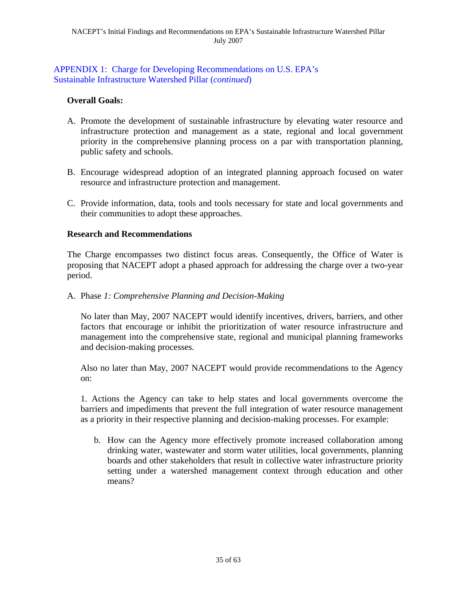#### **Overall Goals:**

- A. Promote the development of sustainable infrastructure by elevating water resource and infrastructure protection and management as a state, regional and local government priority in the comprehensive planning process on a par with transportation planning, public safety and schools.
- B. Encourage widespread adoption of an integrated planning approach focused on water resource and infrastructure protection and management.
- C. Provide information, data, tools and tools necessary for state and local governments and their communities to adopt these approaches.

#### **Research and Recommendations**

The Charge encompasses two distinct focus areas. Consequently, the Office of Water is proposing that NACEPT adopt a phased approach for addressing the charge over a two-year period.

A. Phase *1: Comprehensive Planning and Decision-Making* 

No later than May, 2007 NACEPT would identify incentives, drivers, barriers, and other factors that encourage or inhibit the prioritization of water resource infrastructure and management into the comprehensive state, regional and municipal planning frameworks and decision-making processes.

Also no later than May, 2007 NACEPT would provide recommendations to the Agency on:

1. Actions the Agency can take to help states and local governments overcome the barriers and impediments that prevent the full integration of water resource management as a priority in their respective planning and decision-making processes. For example:

b. How can the Agency more effectively promote increased collaboration among drinking water, wastewater and storm water utilities, local governments, planning boards and other stakeholders that result in collective water infrastructure priority setting under a watershed management context through education and other means?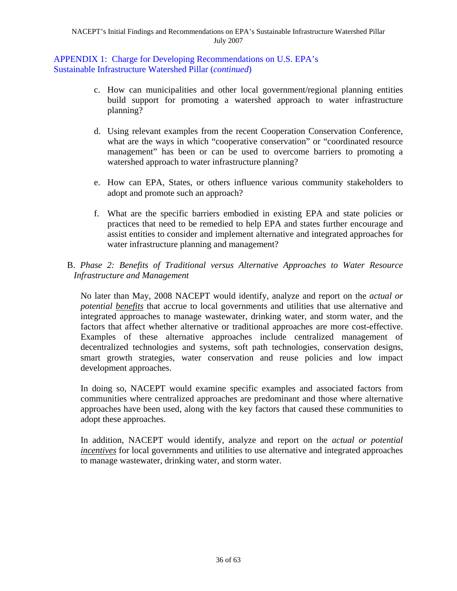- c. How can municipalities and other local government/regional planning entities build support for promoting a watershed approach to water infrastructure planning?
- d. Using relevant examples from the recent Cooperation Conservation Conference, what are the ways in which "cooperative conservation" or "coordinated resource management" has been or can be used to overcome barriers to promoting a watershed approach to water infrastructure planning?
- e. How can EPA, States, or others influence various community stakeholders to adopt and promote such an approach?
- f. What are the specific barriers embodied in existing EPA and state policies or practices that need to be remedied to help EPA and states further encourage and assist entities to consider and implement alternative and integrated approaches for water infrastructure planning and management?

#### B. *Phase 2: Benefits of Traditional versus Alternative Approaches to Water Resource Infrastructure and Management*

No later than May, 2008 NACEPT would identify, analyze and report on the *actual or potential benefits* that accrue to local governments and utilities that use alternative and integrated approaches to manage wastewater, drinking water, and storm water, and the factors that affect whether alternative or traditional approaches are more cost-effective. Examples of these alternative approaches include centralized management of decentralized technologies and systems, soft path technologies, conservation designs, smart growth strategies, water conservation and reuse policies and low impact development approaches.

In doing so, NACEPT would examine specific examples and associated factors from communities where centralized approaches are predominant and those where alternative approaches have been used, along with the key factors that caused these communities to adopt these approaches.

In addition, NACEPT would identify, analyze and report on the *actual or potential incentives* for local governments and utilities to use alternative and integrated approaches to manage wastewater, drinking water, and storm water.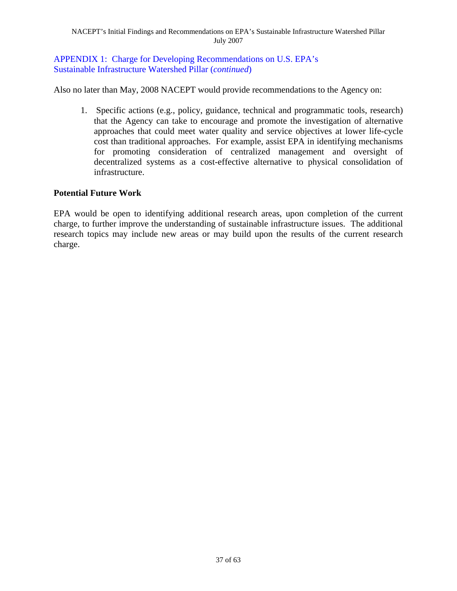Also no later than May, 2008 NACEPT would provide recommendations to the Agency on:

 1. Specific actions (e.g., policy, guidance, technical and programmatic tools, research) that the Agency can take to encourage and promote the investigation of alternative approaches that could meet water quality and service objectives at lower life-cycle cost than traditional approaches. For example, assist EPA in identifying mechanisms for promoting consideration of centralized management and oversight of decentralized systems as a cost-effective alternative to physical consolidation of infrastructure.

#### **Potential Future Work**

EPA would be open to identifying additional research areas, upon completion of the current charge, to further improve the understanding of sustainable infrastructure issues. The additional research topics may include new areas or may build upon the results of the current research charge.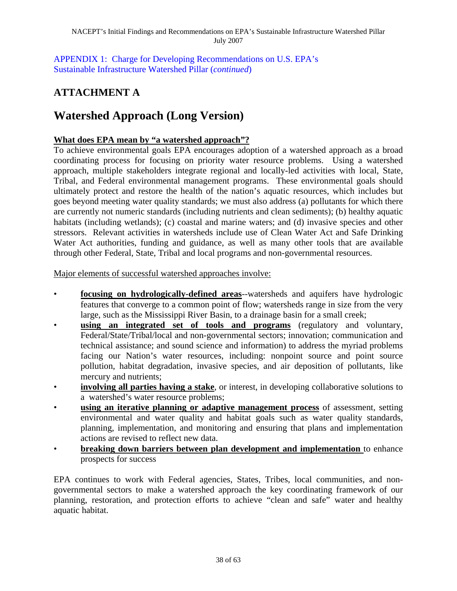## **ATTACHMENT A**

## **Watershed Approach (Long Version)**

#### **What does EPA mean by "a watershed approach"?**

To achieve environmental goals EPA encourages adoption of a watershed approach as a broad coordinating process for focusing on priority water resource problems. Using a watershed approach, multiple stakeholders integrate regional and locally-led activities with local, State, Tribal, and Federal environmental management programs. These environmental goals should ultimately protect and restore the health of the nation's aquatic resources, which includes but goes beyond meeting water quality standards; we must also address (a) pollutants for which there are currently not numeric standards (including nutrients and clean sediments); (b) healthy aquatic habitats (including wetlands); (c) coastal and marine waters; and (d) invasive species and other stressors. Relevant activities in watersheds include use of Clean Water Act and Safe Drinking Water Act authorities, funding and guidance, as well as many other tools that are available through other Federal, State, Tribal and local programs and non-governmental resources.

Major elements of successful watershed approaches involve:

- **focusing on hydrologically-defined areas**--watersheds and aquifers have hydrologic features that converge to a common point of flow; watersheds range in size from the very large, such as the Mississippi River Basin, to a drainage basin for a small creek;
- **using an integrated set of tools and programs** (regulatory and voluntary, Federal/State/Tribal/local and non-governmental sectors; innovation; communication and technical assistance; and sound science and information) to address the myriad problems facing our Nation's water resources, including: nonpoint source and point source pollution, habitat degradation, invasive species, and air deposition of pollutants, like mercury and nutrients;
- **involving all parties having a stake**, or interest, in developing collaborative solutions to a watershed's water resource problems;
- **using an iterative planning or adaptive management process** of assessment, setting environmental and water quality and habitat goals such as water quality standards, planning, implementation, and monitoring and ensuring that plans and implementation actions are revised to reflect new data.
- **breaking down barriers between plan development and implementation** to enhance prospects for success

EPA continues to work with Federal agencies, States, Tribes, local communities, and nongovernmental sectors to make a watershed approach the key coordinating framework of our planning, restoration, and protection efforts to achieve "clean and safe" water and healthy aquatic habitat.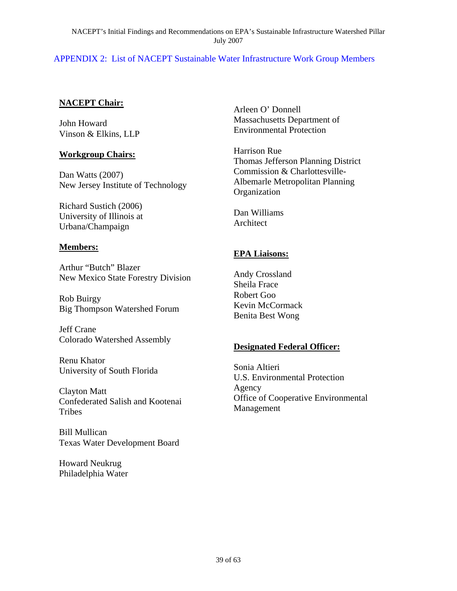#### APPENDIX 2: List of NACEPT Sustainable Water Infrastructure Work Group Members

#### **NACEPT Chair:**

John Howard Vinson & Elkins, LLP

## **Workgroup Chairs:** Harrison Rue

Dan Watts (2007) New Jersey Institute of Technology

Richard Sustich (2006)<br>
University of Illinois at Dan Williams<br>
University of Illinois at Architect Urbana/Champaign

#### **Members:**

Arthur "Butch" Blazer New Mexico State Forestry Division<br>
Sheila Frace

Rob Buirgy<br>
Big Thompson Watershed Forum Kevin McCormack<br>
Benita Best Wong

Jeff Crane

Renu Khator

Tribes Management

Bill Mullican Texas Water Development Board

Howard Neukrug Philadelphia Water Arleen O' Donnell Massachusetts Department of Environmental Protection

Thomas Jefferson Planning District Commission & Charlottesville-Albemarle Metropolitan Planning Organization

#### **EPA Liaisons:**

## Colorado Watershed Assembly **Designated Federal Officer:**

Sonia Altieri University of South Florida U.S. Environmental Protection Agency Clayton Matt Office of Cooperative Environmental Confederated Salish and Kootenai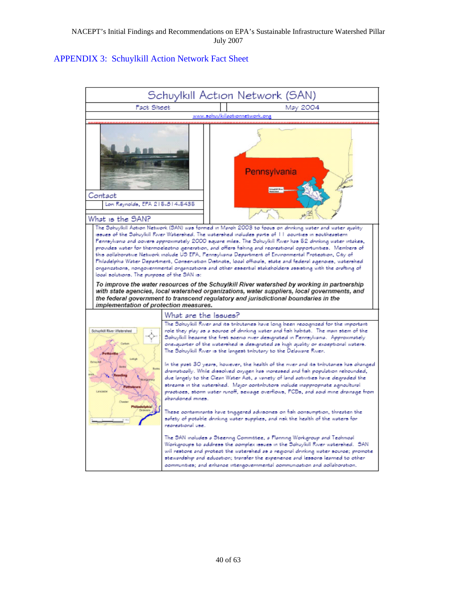#### APPENDIX 3: Schuylkill Action Network Fact Sheet

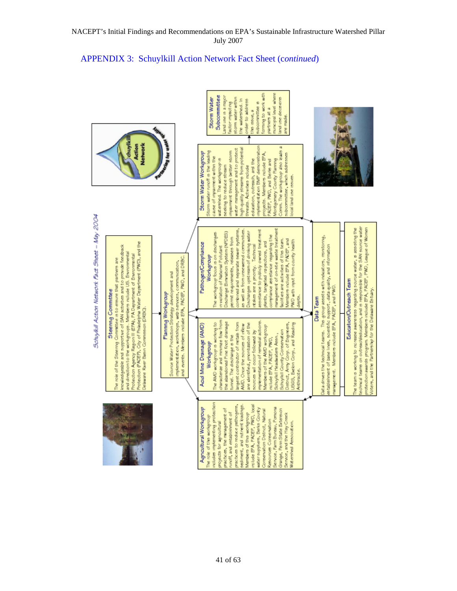

#### APPENDIX 3: Schuylkill Action Network Fact Sheet (c*ontinued*)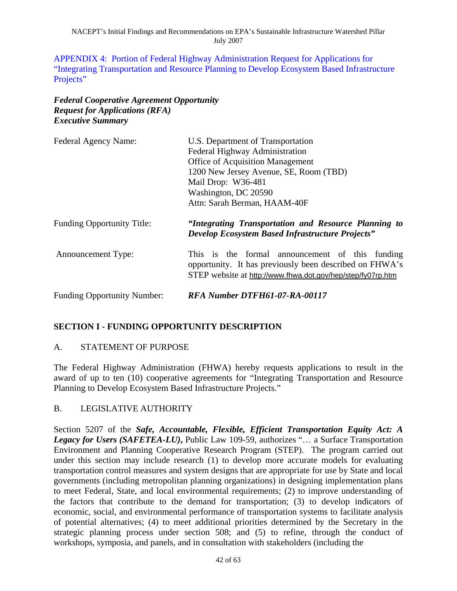#### *Federal Cooperative Agreement Opportunity Request for Applications (RFA) Executive Summary*

| Federal Agency Name:               | U.S. Department of Transportation<br>Federal Highway Administration<br><b>Office of Acquisition Management</b><br>1200 New Jersey Avenue, SE, Room (TBD)<br>Mail Drop: W36-481<br>Washington, DC 20590<br>Attn: Sarah Berman, HAAM-40F |  |  |  |
|------------------------------------|----------------------------------------------------------------------------------------------------------------------------------------------------------------------------------------------------------------------------------------|--|--|--|
| <b>Funding Opportunity Title:</b>  | "Integrating Transportation and Resource Planning to<br>Develop Ecosystem Based Infrastructure Projects"                                                                                                                               |  |  |  |
| <b>Announcement Type:</b>          | This is the formal announcement of this funding<br>opportunity. It has previously been described on FHWA's<br>STEP website at http://www.fhwa.dot.gov/hep/step/fy07rp.htm                                                              |  |  |  |
| <b>Funding Opportunity Number:</b> | RFA Number DTFH61-07-RA-00117                                                                                                                                                                                                          |  |  |  |

#### **SECTION I - FUNDING OPPORTUNITY DESCRIPTION**

#### A. STATEMENT OF PURPOSE

The Federal Highway Administration (FHWA) hereby requests applications to result in the award of up to ten (10) cooperative agreements for "Integrating Transportation and Resource Planning to Develop Ecosystem Based Infrastructure Projects."

#### B. LEGISLATIVE AUTHORITY

Section 5207 of the *Safe, Accountable, Flexible, Efficient Transportation Equity Act: A Legacy for Users (SAFETEA-LU)***,** Public Law 109-59, authorizes "… a Surface Transportation Environment and Planning Cooperative Research Program (STEP). The program carried out under this section may include research (1) to develop more accurate models for evaluating transportation control measures and system designs that are appropriate for use by State and local governments (including metropolitan planning organizations) in designing implementation plans to meet Federal, State, and local environmental requirements; (2) to improve understanding of the factors that contribute to the demand for transportation; (3) to develop indicators of economic, social, and environmental performance of transportation systems to facilitate analysis of potential alternatives; (4) to meet additional priorities determined by the Secretary in the strategic planning process under section 508; and (5) to refine, through the conduct of workshops, symposia, and panels, and in consultation with stakeholders (including the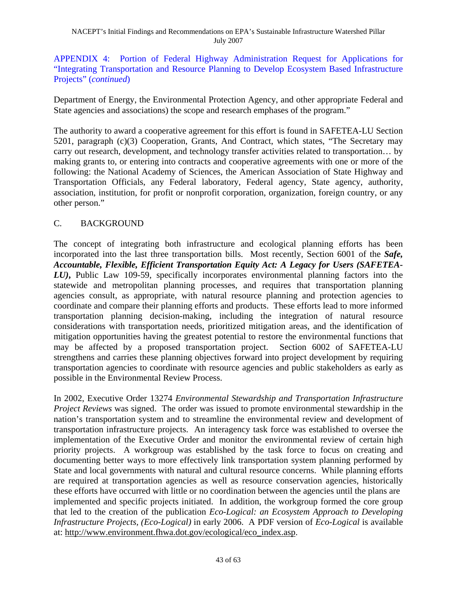Department of Energy, the Environmental Protection Agency, and other appropriate Federal and State agencies and associations) the scope and research emphases of the program."

The authority to award a cooperative agreement for this effort is found in SAFETEA-LU Section 5201, paragraph (c)(3) Cooperation, Grants, And Contract, which states, "The Secretary may carry out research, development, and technology transfer activities related to transportation… by making grants to, or entering into contracts and cooperative agreements with one or more of the following: the National Academy of Sciences, the American Association of State Highway and Transportation Officials, any Federal laboratory, Federal agency, State agency, authority, association, institution, for profit or nonprofit corporation, organization, foreign country, or any other person."

#### C. BACKGROUND

The concept of integrating both infrastructure and ecological planning efforts has been incorporated into the last three transportation bills. Most recently, Section 6001 of the *Safe, Accountable, Flexible, Efficient Transportation Equity Act: A Legacy for Users (SAFETEA-LU)***,** Public Law 109-59, specifically incorporates environmental planning factors into the statewide and metropolitan planning processes, and requires that transportation planning agencies consult, as appropriate, with natural resource planning and protection agencies to coordinate and compare their planning efforts and products. These efforts lead to more informed transportation planning decision-making, including the integration of natural resource considerations with transportation needs, prioritized mitigation areas, and the identification of mitigation opportunities having the greatest potential to restore the environmental functions that may be affected by a proposed transportation project. Section 6002 of SAFETEA-LU strengthens and carries these planning objectives forward into project development by requiring transportation agencies to coordinate with resource agencies and public stakeholders as early as possible in the Environmental Review Process.

In 2002, Executive Order 13274 *Environmental Stewardship and Transportation Infrastructure Project Reviews* was signed. The order was issued to promote environmental stewardship in the nation's transportation system and to streamline the environmental review and development of transportation infrastructure projects. An interagency task force was established to oversee the implementation of the Executive Order and monitor the environmental review of certain high priority projects. A workgroup was established by the task force to focus on creating and documenting better ways to more effectively link transportation system planning performed by State and local governments with natural and cultural resource concerns. While planning efforts are required at transportation agencies as well as resource conservation agencies, historically these efforts have occurred with little or no coordination between the agencies until the plans are implemented and specific projects initiated. In addition, the workgroup formed the core group that led to the creation of the publication *Eco-Logical: an Ecosystem Approach to Developing Infrastructure Projects, (Eco-Logical)* in early 2006. A PDF version of *Eco-Logical* is available at: [http://www.environment.fhwa.dot.gov/ecological/eco\\_index.asp](http://www.environment.fhwa.dot.gov/ecological/eco_index.asp).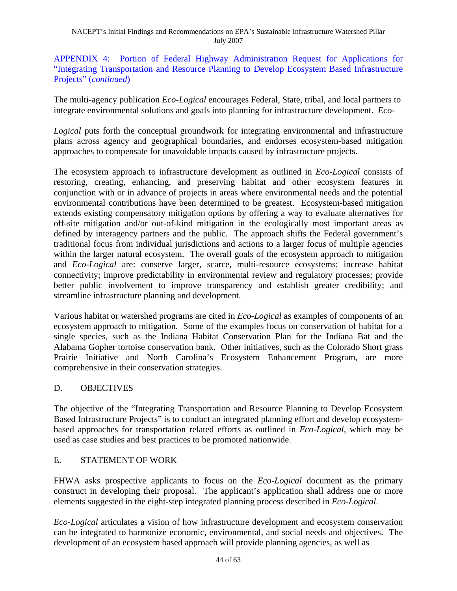The multi-agency publication *Eco-Logical* encourages Federal, State, tribal, and local partners to integrate environmental solutions and goals into planning for infrastructure development. *Eco-*

*Logical* puts forth the conceptual groundwork for integrating environmental and infrastructure plans across agency and geographical boundaries, and endorses ecosystem-based mitigation approaches to compensate for unavoidable impacts caused by infrastructure projects.

The ecosystem approach to infrastructure development as outlined in *Eco-Logical* consists of restoring, creating, enhancing, and preserving habitat and other ecosystem features in conjunction with or in advance of projects in areas where environmental needs and the potential environmental contributions have been determined to be greatest. Ecosystem-based mitigation extends existing compensatory mitigation options by offering a way to evaluate alternatives for off-site mitigation and/or out-of-kind mitigation in the ecologically most important areas as defined by interagency partners and the public. The approach shifts the Federal government's traditional focus from individual jurisdictions and actions to a larger focus of multiple agencies within the larger natural ecosystem. The overall goals of the ecosystem approach to mitigation and *Eco-Logical* are: conserve larger, scarce, multi-resource ecosystems; increase habitat connectivity; improve predictability in environmental review and regulatory processes; provide better public involvement to improve transparency and establish greater credibility; and streamline infrastructure planning and development.

Various habitat or watershed programs are cited in *Eco-Logical* as examples of components of an ecosystem approach to mitigation. Some of the examples focus on conservation of habitat for a single species, such as the Indiana Habitat Conservation Plan for the Indiana Bat and the Alabama Gopher tortoise conservation bank. Other initiatives, such as the Colorado Short grass Prairie Initiative and North Carolina's Ecosystem Enhancement Program, are more comprehensive in their conservation strategies.

#### D. OBJECTIVES

The objective of the "Integrating Transportation and Resource Planning to Develop Ecosystem Based Infrastructure Projects" is to conduct an integrated planning effort and develop ecosystembased approaches for transportation related efforts as outlined in *Eco-Logical,* which may be used as case studies and best practices to be promoted nationwide.

#### E. STATEMENT OF WORK

FHWA asks prospective applicants to focus on the *Eco-Logical* document as the primary construct in developing their proposal. The applicant's application shall address one or more elements suggested in the eight-step integrated planning process described in *Eco-Logical*.

*Eco-Logical* articulates a vision of how infrastructure development and ecosystem conservation can be integrated to harmonize economic, environmental, and social needs and objectives. The development of an ecosystem based approach will provide planning agencies, as well as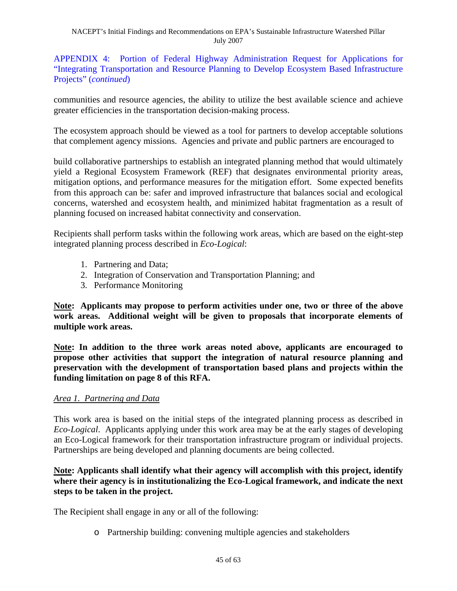communities and resource agencies, the ability to utilize the best available science and achieve greater efficiencies in the transportation decision-making process.

The ecosystem approach should be viewed as a tool for partners to develop acceptable solutions that complement agency missions. Agencies and private and public partners are encouraged to

build collaborative partnerships to establish an integrated planning method that would ultimately yield a Regional Ecosystem Framework (REF) that designates environmental priority areas, mitigation options, and performance measures for the mitigation effort. Some expected benefits from this approach can be: safer and improved infrastructure that balances social and ecological concerns, watershed and ecosystem health, and minimized habitat fragmentation as a result of planning focused on increased habitat connectivity and conservation.

Recipients shall perform tasks within the following work areas, which are based on the eight-step integrated planning process described in *Eco-Logical*:

- 1. Partnering and Data;
- 2. Integration of Conservation and Transportation Planning; and
- 3. Performance Monitoring

**Note: Applicants may propose to perform activities under one, two or three of the above work areas. Additional weight will be given to proposals that incorporate elements of multiple work areas.** 

**Note: In addition to the three work areas noted above, applicants are encouraged to propose other activities that support the integration of natural resource planning and preservation with the development of transportation based plans and projects within the funding limitation on page 8 of this RFA.** 

#### *Area 1. Partnering and Data*

This work area is based on the initial steps of the integrated planning process as described in *Eco-Logical*. Applicants applying under this work area may be at the early stages of developing an Eco-Logical framework for their transportation infrastructure program or individual projects. Partnerships are being developed and planning documents are being collected.

#### **Note: Applicants shall identify what their agency will accomplish with this project, identify where their agency is in institutionalizing the Eco-Logical framework, and indicate the next steps to be taken in the project.**

The Recipient shall engage in any or all of the following:

o Partnership building: convening multiple agencies and stakeholders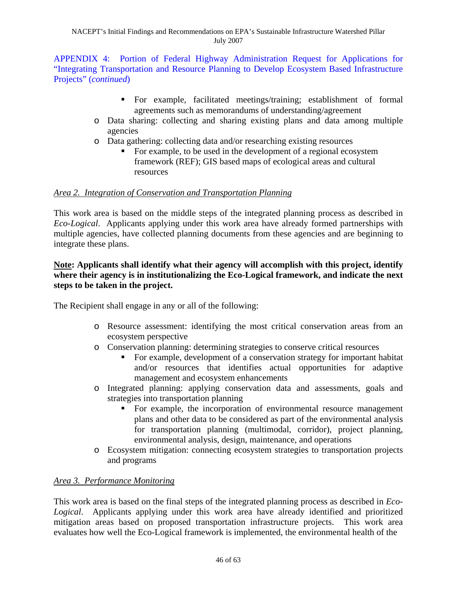- For example, facilitated meetings/training; establishment of formal agreements such as memorandums of understanding/agreement
- o Data sharing: collecting and sharing existing plans and data among multiple agencies
- o Data gathering: collecting data and/or researching existing resources
	- For example, to be used in the development of a regional ecosystem framework (REF); GIS based maps of ecological areas and cultural resources

#### *Area 2. Integration of Conservation and Transportation Planning*

This work area is based on the middle steps of the integrated planning process as described in *Eco-Logical*. Applicants applying under this work area have already formed partnerships with multiple agencies, have collected planning documents from these agencies and are beginning to integrate these plans.

#### **Note: Applicants shall identify what their agency will accomplish with this project, identify where their agency is in institutionalizing the Eco-Logical framework, and indicate the next steps to be taken in the project.**

The Recipient shall engage in any or all of the following:

- o Resource assessment: identifying the most critical conservation areas from an ecosystem perspective
- o Conservation planning: determining strategies to conserve critical resources
	- For example, development of a conservation strategy for important habitat and/or resources that identifies actual opportunities for adaptive management and ecosystem enhancements
- o Integrated planning: applying conservation data and assessments, goals and strategies into transportation planning
	- For example, the incorporation of environmental resource management plans and other data to be considered as part of the environmental analysis for transportation planning (multimodal, corridor), project planning, environmental analysis, design, maintenance, and operations
- o Ecosystem mitigation: connecting ecosystem strategies to transportation projects and programs

#### *Area 3. Performance Monitoring*

This work area is based on the final steps of the integrated planning process as described in *Eco-Logical*. Applicants applying under this work area have already identified and prioritized mitigation areas based on proposed transportation infrastructure projects. This work area evaluates how well the Eco-Logical framework is implemented, the environmental health of the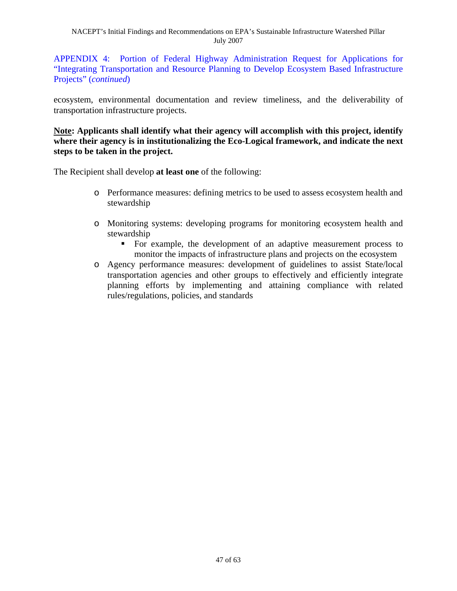ecosystem, environmental documentation and review timeliness, and the deliverability of transportation infrastructure projects.

**Note: Applicants shall identify what their agency will accomplish with this project, identify where their agency is in institutionalizing the Eco-Logical framework, and indicate the next steps to be taken in the project.** 

The Recipient shall develop **at least one** of the following:

- o Performance measures: defining metrics to be used to assess ecosystem health and stewardship
- o Monitoring systems: developing programs for monitoring ecosystem health and stewardship
	- For example, the development of an adaptive measurement process to monitor the impacts of infrastructure plans and projects on the ecosystem
- o Agency performance measures: development of guidelines to assist State/local transportation agencies and other groups to effectively and efficiently integrate planning efforts by implementing and attaining compliance with related rules/regulations, policies, and standards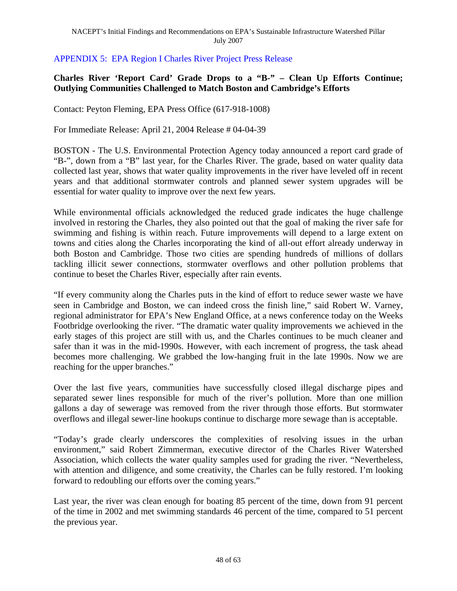#### APPENDIX 5: EPA Region I Charles River Project Press Release

#### **Charles River 'Report Card' Grade Drops to a "B-" – Clean Up Efforts Continue; Outlying Communities Challenged to Match Boston and Cambridge's Efforts**

Contact: Peyton Fleming, EPA Press Office (617-918-1008)

For Immediate Release: April 21, 2004 Release # 04-04-39

BOSTON - The U.S. Environmental Protection Agency today announced a report card grade of "B-", down from a "B" last year, for the Charles River. The grade, based on water quality data collected last year, shows that water quality improvements in the river have leveled off in recent years and that additional stormwater controls and planned sewer system upgrades will be essential for water quality to improve over the next few years.

While environmental officials acknowledged the reduced grade indicates the huge challenge involved in restoring the Charles, they also pointed out that the goal of making the river safe for swimming and fishing is within reach. Future improvements will depend to a large extent on towns and cities along the Charles incorporating the kind of all-out effort already underway in both Boston and Cambridge. Those two cities are spending hundreds of millions of dollars tackling illicit sewer connections, stormwater overflows and other pollution problems that continue to beset the Charles River, especially after rain events.

"If every community along the Charles puts in the kind of effort to reduce sewer waste we have seen in Cambridge and Boston, we can indeed cross the finish line," said Robert W. Varney, regional administrator for EPA's New England Office, at a news conference today on the Weeks Footbridge overlooking the river. "The dramatic water quality improvements we achieved in the early stages of this project are still with us, and the Charles continues to be much cleaner and safer than it was in the mid-1990s. However, with each increment of progress, the task ahead becomes more challenging. We grabbed the low-hanging fruit in the late 1990s. Now we are reaching for the upper branches."

Over the last five years, communities have successfully closed illegal discharge pipes and separated sewer lines responsible for much of the river's pollution. More than one million gallons a day of sewerage was removed from the river through those efforts. But stormwater overflows and illegal sewer-line hookups continue to discharge more sewage than is acceptable.

"Today's grade clearly underscores the complexities of resolving issues in the urban environment," said Robert Zimmerman, executive director of the Charles River Watershed Association, which collects the water quality samples used for grading the river. "Nevertheless, with attention and diligence, and some creativity, the Charles can be fully restored. I'm looking forward to redoubling our efforts over the coming years."

Last year, the river was clean enough for boating 85 percent of the time, down from 91 percent of the time in 2002 and met swimming standards 46 percent of the time, compared to 51 percent the previous year.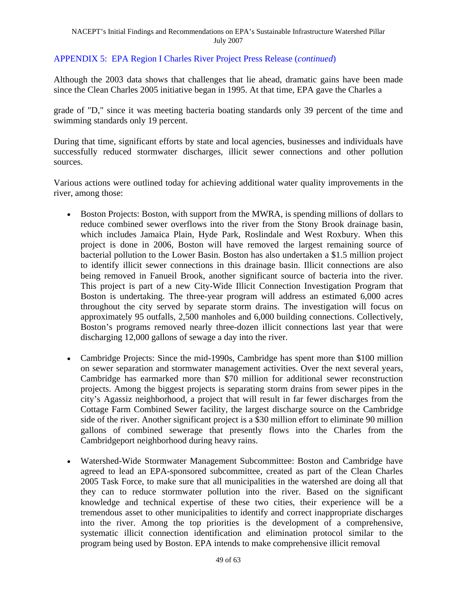#### APPENDIX 5: EPA Region I Charles River Project Press Release (*continued*)

Although the 2003 data shows that challenges that lie ahead, dramatic gains have been made since the Clean Charles 2005 initiative began in 1995. At that time, EPA gave the Charles a

grade of "D," since it was meeting bacteria boating standards only 39 percent of the time and swimming standards only 19 percent.

During that time, significant efforts by state and local agencies, businesses and individuals have successfully reduced stormwater discharges, illicit sewer connections and other pollution sources.

Various actions were outlined today for achieving additional water quality improvements in the river, among those:

- Boston Projects: Boston, with support from the MWRA, is spending millions of dollars to reduce combined sewer overflows into the river from the Stony Brook drainage basin, which includes Jamaica Plain, Hyde Park, Roslindale and West Roxbury. When this project is done in 2006, Boston will have removed the largest remaining source of bacterial pollution to the Lower Basin. Boston has also undertaken a \$1.5 million project to identify illicit sewer connections in this drainage basin. Illicit connections are also being removed in Fanueil Brook, another significant source of bacteria into the river. This project is part of a new City-Wide Illicit Connection Investigation Program that Boston is undertaking. The three-year program will address an estimated 6,000 acres throughout the city served by separate storm drains. The investigation will focus on approximately 95 outfalls, 2,500 manholes and 6,000 building connections. Collectively, Boston's programs removed nearly three-dozen illicit connections last year that were discharging 12,000 gallons of sewage a day into the river.
- Cambridge Projects: Since the mid-1990s, Cambridge has spent more than \$100 million on sewer separation and stormwater management activities. Over the next several years, Cambridge has earmarked more than \$70 million for additional sewer reconstruction projects. Among the biggest projects is separating storm drains from sewer pipes in the city's Agassiz neighborhood, a project that will result in far fewer discharges from the Cottage Farm Combined Sewer facility, the largest discharge source on the Cambridge side of the river. Another significant project is a \$30 million effort to eliminate 90 million gallons of combined sewerage that presently flows into the Charles from the Cambridgeport neighborhood during heavy rains.
- Watershed-Wide Stormwater Management Subcommittee: Boston and Cambridge have agreed to lead an EPA-sponsored subcommittee, created as part of the Clean Charles 2005 Task Force, to make sure that all municipalities in the watershed are doing all that they can to reduce stormwater pollution into the river. Based on the significant knowledge and technical expertise of these two cities, their experience will be a tremendous asset to other municipalities to identify and correct inappropriate discharges into the river. Among the top priorities is the development of a comprehensive, systematic illicit connection identification and elimination protocol similar to the program being used by Boston. EPA intends to make comprehensive illicit removal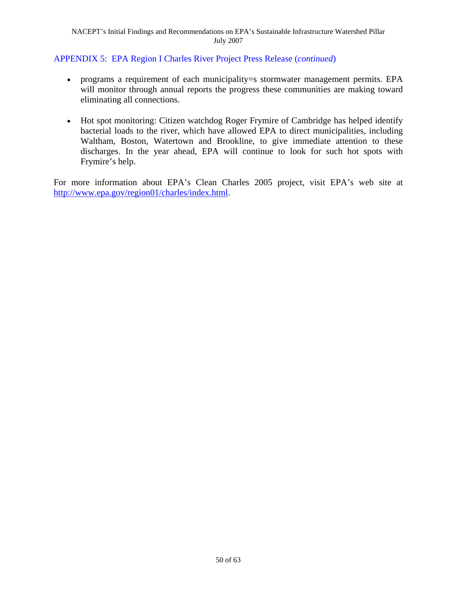#### APPENDIX 5: EPA Region I Charles River Project Press Release (*continued*)

- programs a requirement of each municipality is stormwater management permits. EPA will monitor through annual reports the progress these communities are making toward eliminating all connections.
- Hot spot monitoring: Citizen watchdog Roger Frymire of Cambridge has helped identify bacterial loads to the river, which have allowed EPA to direct municipalities, including Waltham, Boston, Watertown and Brookline, to give immediate attention to these discharges. In the year ahead, EPA will continue to look for such hot spots with Frymire's help.

For more information about EPA's Clean Charles 2005 project, visit EPA's web site at [http://www.epa.gov/region01/charles/index.html.](http://epa.gov/region1/charles/index.html)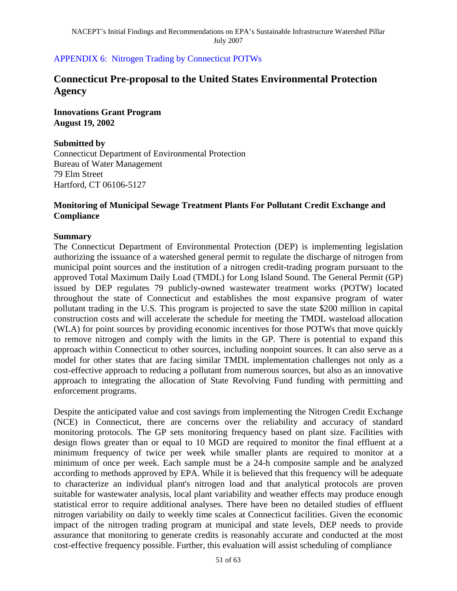#### APPENDIX 6: Nitrogen Trading by Connecticut POTWs

### **Connecticut Pre-proposal to the United States Environmental Protection Agency**

**Innovations Grant Program August 19, 2002**

#### **Submitted by**

Connecticut Department of Environmental Protection Bureau of Water Management 79 Elm Street Hartford, CT 06106-5127

#### **Monitoring of Municipal Sewage Treatment Plants For Pollutant Credit Exchange and Compliance**

#### **Summary**

The Connecticut Department of Environmental Protection (DEP) is implementing legislation authorizing the issuance of a watershed general permit to regulate the discharge of nitrogen from municipal point sources and the institution of a nitrogen credit-trading program pursuant to the approved Total Maximum Daily Load (TMDL) for Long Island Sound. The General Permit (GP) issued by DEP regulates 79 publicly-owned wastewater treatment works (POTW) located throughout the state of Connecticut and establishes the most expansive program of water pollutant trading in the U.S. This program is projected to save the state \$200 million in capital construction costs and will accelerate the schedule for meeting the TMDL wasteload allocation (WLA) for point sources by providing economic incentives for those POTWs that move quickly to remove nitrogen and comply with the limits in the GP. There is potential to expand this approach within Connecticut to other sources, including nonpoint sources. It can also serve as a model for other states that are facing similar TMDL implementation challenges not only as a cost-effective approach to reducing a pollutant from numerous sources, but also as an innovative approach to integrating the allocation of State Revolving Fund funding with permitting and enforcement programs.

Despite the anticipated value and cost savings from implementing the Nitrogen Credit Exchange (NCE) in Connecticut, there are concerns over the reliability and accuracy of standard monitoring protocols. The GP sets monitoring frequency based on plant size. Facilities with design flows greater than or equal to 10 MGD are required to monitor the final effluent at a minimum frequency of twice per week while smaller plants are required to monitor at a minimum of once per week. Each sample must be a 24-h composite sample and be analyzed according to methods approved by EPA. While it is believed that this frequency will be adequate to characterize an individual plant's nitrogen load and that analytical protocols are proven suitable for wastewater analysis, local plant variability and weather effects may produce enough statistical error to require additional analyses. There have been no detailed studies of effluent nitrogen variability on daily to weekly time scales at Connecticut facilities. Given the economic impact of the nitrogen trading program at municipal and state levels, DEP needs to provide assurance that monitoring to generate credits is reasonably accurate and conducted at the most cost-effective frequency possible. Further, this evaluation will assist scheduling of compliance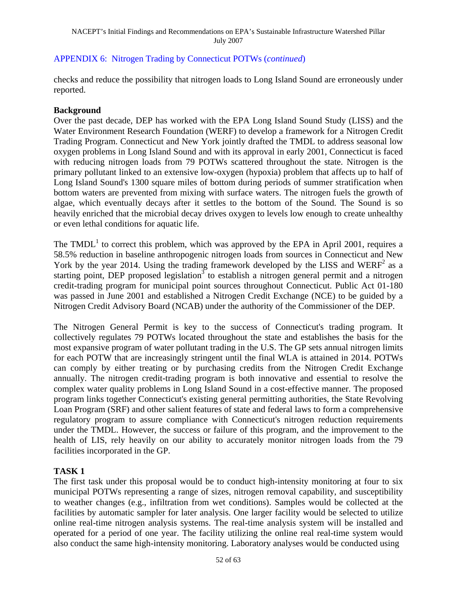#### APPENDIX 6: Nitrogen Trading by Connecticut POTWs (*continued*)

checks and reduce the possibility that nitrogen loads to Long Island Sound are erroneously under reported.

#### **Background**

Over the past decade, DEP has worked with the EPA Long Island Sound Study (LISS) and the Water Environment Research Foundation (WERF) to develop a framework for a Nitrogen Credit Trading Program. Connecticut and New York jointly drafted the TMDL to address seasonal low oxygen problems in Long Island Sound and with its approval in early 2001, Connecticut is faced with reducing nitrogen loads from 79 POTWs scattered throughout the state. Nitrogen is the primary pollutant linked to an extensive low-oxygen (hypoxia) problem that affects up to half of Long Island Sound's 1300 square miles of bottom during periods of summer stratification when bottom waters are prevented from mixing with surface waters. The nitrogen fuels the growth of algae, which eventually decays after it settles to the bottom of the Sound. The Sound is so heavily enriched that the microbial decay drives oxygen to levels low enough to create unhealthy or even lethal conditions for aquatic life.

The TMDL<sup>1</sup> to correct this problem, which was approved by the EPA in April 2001, requires a 58.5% reduction in baseline anthropogenic nitrogen loads from sources in Connecticut and New York by the year 2014. Using the trading framework developed by the LISS and WERF<sup>2</sup> as a starting point, DEP proposed legislation<sup>3</sup> to establish a nitrogen general permit and a nitrogen credit-trading program for municipal point sources throughout Connecticut. Public Act 01-180 was passed in June 2001 and established a Nitrogen Credit Exchange (NCE) to be guided by a Nitrogen Credit Advisory Board (NCAB) under the authority of the Commissioner of the DEP.

The Nitrogen General Permit is key to the success of Connecticut's trading program. It collectively regulates 79 POTWs located throughout the state and establishes the basis for the most expansive program of water pollutant trading in the U.S. The GP sets annual nitrogen limits for each POTW that are increasingly stringent until the final WLA is attained in 2014. POTWs can comply by either treating or by purchasing credits from the Nitrogen Credit Exchange annually. The nitrogen credit-trading program is both innovative and essential to resolve the complex water quality problems in Long Island Sound in a cost-effective manner. The proposed program links together Connecticut's existing general permitting authorities, the State Revolving Loan Program (SRF) and other salient features of state and federal laws to form a comprehensive regulatory program to assure compliance with Connecticut's nitrogen reduction requirements under the TMDL. However, the success or failure of this program, and the improvement to the health of LIS, rely heavily on our ability to accurately monitor nitrogen loads from the 79 facilities incorporated in the GP.

#### **TASK 1**

The first task under this proposal would be to conduct high-intensity monitoring at four to six municipal POTWs representing a range of sizes, nitrogen removal capability, and susceptibility to weather changes (e.g., infiltration from wet conditions). Samples would be collected at the facilities by automatic sampler for later analysis. One larger facility would be selected to utilize online real-time nitrogen analysis systems. The real-time analysis system will be installed and operated for a period of one year. The facility utilizing the online real real-time system would also conduct the same high-intensity monitoring. Laboratory analyses would be conducted using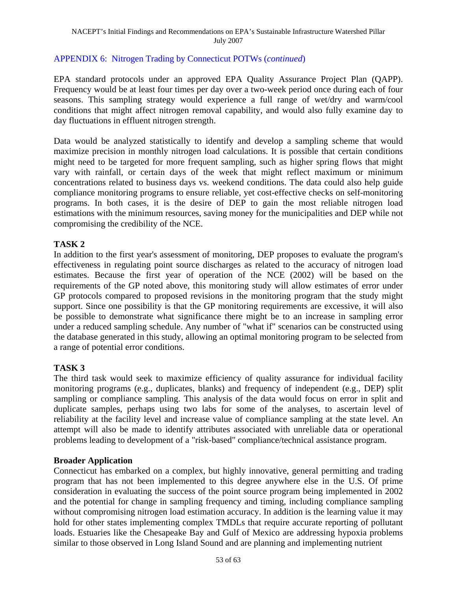#### APPENDIX 6: Nitrogen Trading by Connecticut POTWs (*continued*)

EPA standard protocols under an approved EPA Quality Assurance Project Plan (QAPP). Frequency would be at least four times per day over a two-week period once during each of four seasons. This sampling strategy would experience a full range of wet/dry and warm/cool conditions that might affect nitrogen removal capability, and would also fully examine day to day fluctuations in effluent nitrogen strength.

Data would be analyzed statistically to identify and develop a sampling scheme that would maximize precision in monthly nitrogen load calculations. It is possible that certain conditions might need to be targeted for more frequent sampling, such as higher spring flows that might vary with rainfall, or certain days of the week that might reflect maximum or minimum concentrations related to business days vs. weekend conditions. The data could also help guide compliance monitoring programs to ensure reliable, yet cost-effective checks on self-monitoring programs. In both cases, it is the desire of DEP to gain the most reliable nitrogen load estimations with the minimum resources, saving money for the municipalities and DEP while not compromising the credibility of the NCE.

#### **TASK 2**

In addition to the first year's assessment of monitoring, DEP proposes to evaluate the program's effectiveness in regulating point source discharges as related to the accuracy of nitrogen load estimates. Because the first year of operation of the NCE (2002) will be based on the requirements of the GP noted above, this monitoring study will allow estimates of error under GP protocols compared to proposed revisions in the monitoring program that the study might support. Since one possibility is that the GP monitoring requirements are excessive, it will also be possible to demonstrate what significance there might be to an increase in sampling error under a reduced sampling schedule. Any number of "what if" scenarios can be constructed using the database generated in this study, allowing an optimal monitoring program to be selected from a range of potential error conditions.

#### **TASK 3**

The third task would seek to maximize efficiency of quality assurance for individual facility monitoring programs (e.g., duplicates, blanks) and frequency of independent (e.g., DEP) split sampling or compliance sampling. This analysis of the data would focus on error in split and duplicate samples, perhaps using two labs for some of the analyses, to ascertain level of reliability at the facility level and increase value of compliance sampling at the state level. An attempt will also be made to identify attributes associated with unreliable data or operational problems leading to development of a "risk-based" compliance/technical assistance program.

#### **Broader Application**

Connecticut has embarked on a complex, but highly innovative, general permitting and trading program that has not been implemented to this degree anywhere else in the U.S. Of prime consideration in evaluating the success of the point source program being implemented in 2002 and the potential for change in sampling frequency and timing, including compliance sampling without compromising nitrogen load estimation accuracy. In addition is the learning value it may hold for other states implementing complex TMDLs that require accurate reporting of pollutant loads. Estuaries like the Chesapeake Bay and Gulf of Mexico are addressing hypoxia problems similar to those observed in Long Island Sound and are planning and implementing nutrient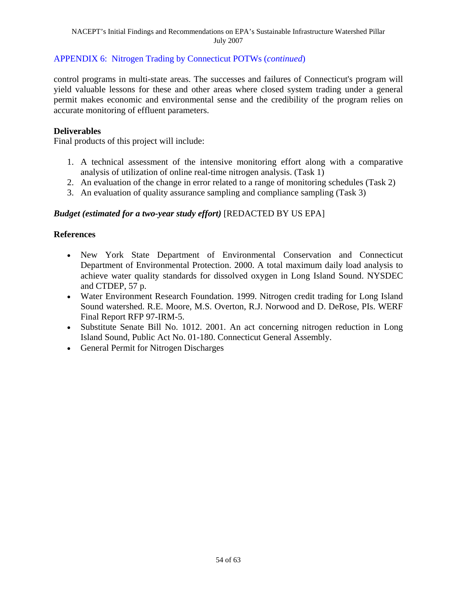#### APPENDIX 6: Nitrogen Trading by Connecticut POTWs (*continued*)

control programs in multi-state areas. The successes and failures of Connecticut's program will yield valuable lessons for these and other areas where closed system trading under a general permit makes economic and environmental sense and the credibility of the program relies on accurate monitoring of effluent parameters.

#### **Deliverables**

Final products of this project will include:

- 1. A technical assessment of the intensive monitoring effort along with a comparative analysis of utilization of online real-time nitrogen analysis. (Task 1)
- 2. An evaluation of the change in error related to a range of monitoring schedules (Task 2)
- 3. An evaluation of quality assurance sampling and compliance sampling (Task 3)

#### *Budget (estimated for a two-year study effort)* [REDACTED BY US EPA]

#### **References**

- New York State Department of Environmental Conservation and Connecticut Department of Environmental Protection. 2000. A total maximum daily load analysis to achieve water quality standards for dissolved oxygen in Long Island Sound. NYSDEC and CTDEP, 57 p.
- Water Environment Research Foundation. 1999. Nitrogen credit trading for Long Island Sound watershed. R.E. Moore, M.S. Overton, R.J. Norwood and D. DeRose, PIs. WERF Final Report RFP 97-IRM-5.
- Substitute Senate Bill No. 1012. 2001. An act concerning nitrogen reduction in Long Island Sound, Public Act No. 01-180. Connecticut General Assembly.
- General Permit for Nitrogen Discharges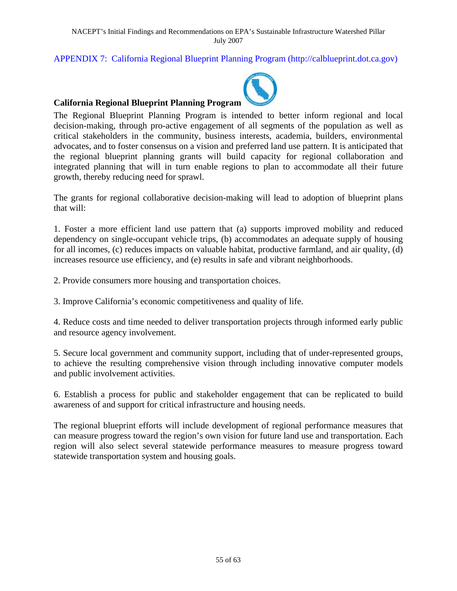#### APPENDIX 7: California Regional Blueprint Planning Program (http://calblueprint.dot.ca.gov)



#### **California Regional Blueprint Planning Program**

The Regional Blueprint Planning Program is intended to better inform regional and local decision-making, through pro-active engagement of all segments of the population as well as critical stakeholders in the community, business interests, academia, builders, environmental advocates, and to foster consensus on a vision and preferred land use pattern. It is anticipated that the regional blueprint planning grants will build capacity for regional collaboration and integrated planning that will in turn enable regions to plan to accommodate all their future growth, thereby reducing need for sprawl.

The grants for regional collaborative decision-making will lead to adoption of blueprint plans that will:

1. Foster a more efficient land use pattern that (a) supports improved mobility and reduced dependency on single-occupant vehicle trips, (b) accommodates an adequate supply of housing for all incomes, (c) reduces impacts on valuable habitat, productive farmland, and air quality, (d) increases resource use efficiency, and (e) results in safe and vibrant neighborhoods.

2. Provide consumers more housing and transportation choices.

3. Improve California's economic competitiveness and quality of life.

4. Reduce costs and time needed to deliver transportation projects through informed early public and resource agency involvement.

5. Secure local government and community support, including that of under-represented groups, to achieve the resulting comprehensive vision through including innovative computer models and public involvement activities.

6. Establish a process for public and stakeholder engagement that can be replicated to build awareness of and support for critical infrastructure and housing needs.

The regional blueprint efforts will include development of regional performance measures that can measure progress toward the region's own vision for future land use and transportation. Each region will also select several statewide performance measures to measure progress toward statewide transportation system and housing goals.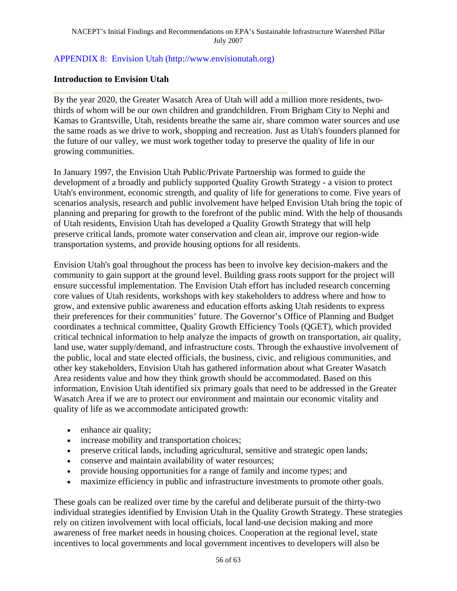#### APPENDIX 8: Envision Utah (http://www.envisionutah.org)

#### **Introduction to Envision Utah**

By the year 2020, the Greater Wasatch Area of Utah will add a million more residents, twothirds of whom will be our own children and grandchildren. From Brigham City to Nephi and Kamas to Grantsville, Utah, residents breathe the same air, share common water sources and use the same roads as we drive to work, shopping and recreation. Just as Utah's founders planned for the future of our valley, we must work together today to preserve the quality of life in our growing communities.

In January 1997, the Envision Utah Public/Private Partnership was formed to guide the development of a broadly and publicly supported Quality Growth Strategy - a vision to protect Utah's environment, economic strength, and quality of life for generations to come. Five years of scenarios analysis, research and public involvement have helped Envision Utah bring the topic of planning and preparing for growth to the forefront of the public mind. With the help of thousands of Utah residents, Envision Utah has developed a Quality Growth Strategy that will help preserve critical lands, promote water conservation and clean air, improve our region-wide transportation systems, and provide housing options for all residents.

Envision Utah's goal throughout the process has been to involve key decision-makers and the community to gain support at the ground level. Building grass roots support for the project will ensure successful implementation. The Envision Utah effort has included research concerning core values of Utah residents, workshops with key stakeholders to address where and how to grow, and extensive public awareness and education efforts asking Utah residents to express their preferences for their communities' future. The Governor's Office of Planning and Budget coordinates a technical committee, Quality Growth Efficiency Tools (QGET), which provided critical technical information to help analyze the impacts of growth on transportation, air quality, land use, water supply/demand, and infrastructure costs. Through the exhaustive involvement of the public, local and state elected officials, the business, civic, and religious communities, and other key stakeholders, Envision Utah has gathered information about what Greater Wasatch Area residents value and how they think growth should be accommodated. Based on this information, Envision Utah identified six primary goals that need to be addressed in the Greater Wasatch Area if we are to protect our environment and maintain our economic vitality and quality of life as we accommodate anticipated growth:

- enhance air quality;
- increase mobility and transportation choices;
- preserve critical lands, including agricultural, sensitive and strategic open lands;
- conserve and maintain availability of water resources;
- provide housing opportunities for a range of family and income types; and
- maximize efficiency in public and infrastructure investments to promote other goals.

These goals can be realized over time by the careful and deliberate pursuit of the thirty-two individual strategies identified by Envision Utah in the Quality Growth Strategy. These strategies rely on citizen involvement with local officials, local land-use decision making and more awareness of free market needs in housing choices. Cooperation at the regional level, state incentives to local governments and local government incentives to developers will also be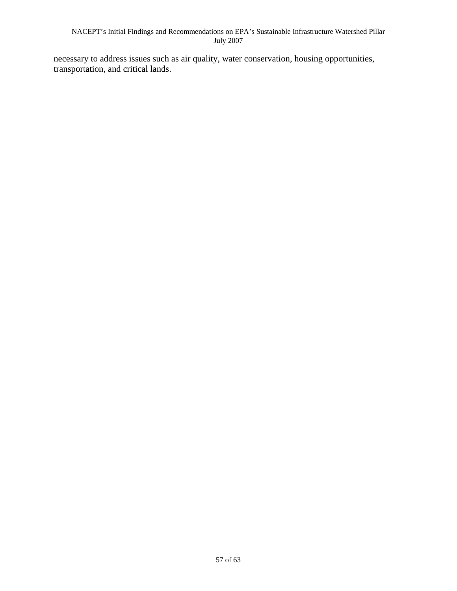necessary to address issues such as air quality, water conservation, housing opportunities, transportation, and critical lands.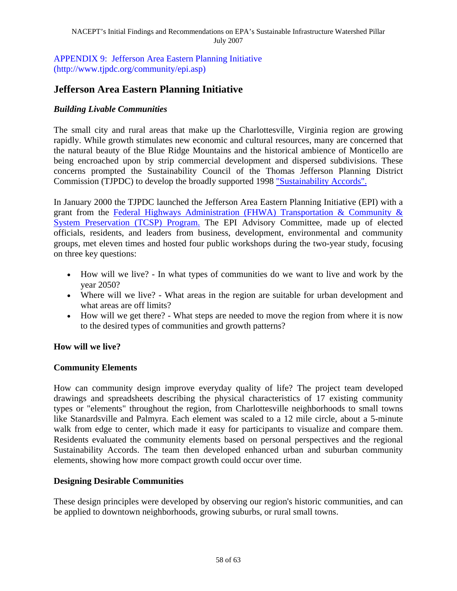#### APPENDIX 9: Jefferson Area Eastern Planning Initiative (http://www.tjpdc.org/community/epi.asp)

## **Jefferson Area Eastern Planning Initiative**

#### *Building Livable Communities*

The small city and rural areas that make up the Charlottesville, Virginia region are growing rapidly. While growth stimulates new economic and cultural resources, many are concerned that the natural beauty of the Blue Ridge Mountains and the historical ambience of Monticello are being encroached upon by strip commercial development and dispersed subdivisions. These concerns prompted the Sustainability Council of the Thomas Jefferson Planning District Commission (TJPDC) to develop the broadly supported 1998 ["Sustainability Accords".](http://www.tjpdc.org/home/sustainability.asp) 

In January 2000 the TJPDC launched the Jefferson Area Eastern Planning Initiative (EPI) with a grant from the Federal Highways Administration (FHWA) Transportation & Community  $\&$ System Preservation (TCSP) Program. The EPI Advisory Committee, made up of elected officials, residents, and leaders from business, development, environmental and community groups, met eleven times and hosted four public workshops during the two-year study, focusing on three key questions:

- How will we live? In what types of communities do we want to live and work by the year 2050?
- Where will we live? What areas in the region are suitable for urban development and what areas are off limits?
- How will we get there? What steps are needed to move the region from where it is now to the desired types of communities and growth patterns?

#### **How will we live?**

#### **Community Elements**

How can community design improve everyday quality of life? The project team developed drawings and spreadsheets describing the physical characteristics of 17 existing community types or "elements" throughout the region, from Charlottesville neighborhoods to small towns like Stanardsville and Palmyra. Each element was scaled to a 12 mile circle, about a 5-minute walk from edge to center, which made it easy for participants to visualize and compare them. Residents evaluated the community elements based on personal perspectives and the regional Sustainability Accords. The team then developed enhanced urban and suburban community elements, showing how more compact growth could occur over time.

#### **Designing Desirable Communities**

These design principles were developed by observing our region's historic communities, and can be applied to downtown neighborhoods, growing suburbs, or rural small towns.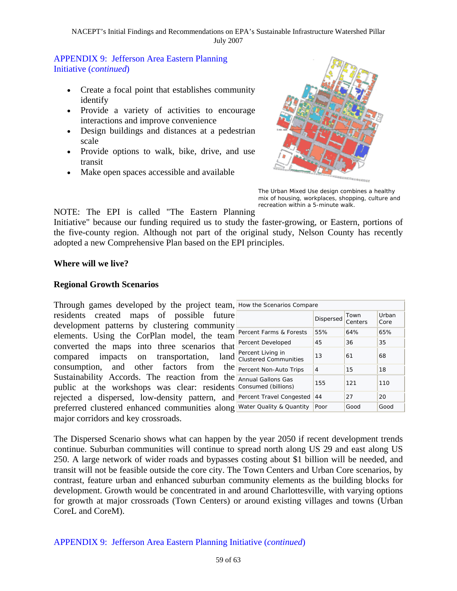NACEPT's Initial Findings and Recommendations on EPA's Sustainable Infrastructure Watershed Pillar July 2007

#### APPENDIX 9: Jefferson Area Eastern Planning Initiative (*continued*)

- Create a focal point that establishes community identify
- Provide a variety of activities to encourage interactions and improve convenience
- Design buildings and distances at a pedestrian scale
- Provide options to walk, bike, drive, and use transit
- Make open spaces accessible and available



The Urban Mixed Use design combines a healthy mix of housing, workplaces, shopping, culture and recreation within a 5-minute walk.

NOTE: The EPI is called "The Eastern Planning

Initiative" because our funding required us to study the faster-growing, or Eastern, portions of the five-county region. Although not part of the original study, Nelson County has recently adopted a new Comprehensive Plan based on the EPI principles.

#### **Where will we live?**

#### **Regional Growth Scenarios**

Through games developed by the project team, residents created maps of possible future development patterns by clustering community elements. Using the CorPlan model, the team converted the maps into three scenarios that compared impacts on transportation, land consumption, and other factors from the Sustainability Accords. The reaction from the public at the workshops was clear: residents rejected a dispersed, low-density pattern, and preferred clustered enhanced communities along major corridors and key crossroads.

|   | How the Scenarios Compare                         |                  |                 |               |  |  |
|---|---------------------------------------------------|------------------|-----------------|---------------|--|--|
|   |                                                   | <b>Dispersed</b> | Town<br>Centers | Urban<br>Core |  |  |
|   | Percent Farms & Forests                           | 55%              | 64%             | 65%           |  |  |
|   | Percent Developed                                 | 45               | 36              | 35            |  |  |
|   | Percent Living in<br><b>Clustered Communities</b> | 13               | 61              | 68            |  |  |
| , | Percent Non-Auto Trips                            | 4                | 15              | 18            |  |  |
| , | Annual Gallons Gas<br>Consumed (billions)         | 155              | 121             | 110           |  |  |
|   | Percent Travel Congested                          | 44               | 27              | 20            |  |  |
|   | Vater Quality & Quantity                          | Poor             | Good            | Good          |  |  |

The Dispersed Scenario shows what can happen by the year 2050 if recent development trends continue. Suburban communities will continue to spread north along US 29 and east along US 250. A large network of wider roads and bypasses costing about \$1 billion will be needed, and transit will not be feasible outside the core city. The Town Centers and Urban Core scenarios, by contrast, feature urban and enhanced suburban community elements as the building blocks for development. Growth would be concentrated in and around Charlottesville, with varying options for growth at major crossroads (Town Centers) or around existing villages and towns (Urban CoreL and CoreM).

#### PPENDIX 9: Jefferson Area Eastern Planning Initiative (*continued*) A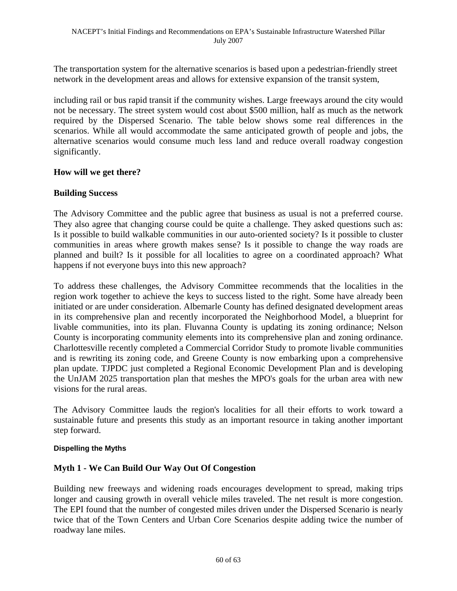The transportation system for the alternative scenarios is based upon a pedestrian-friendly street network in the development areas and allows for extensive expansion of the transit system,

including rail or bus rapid transit if the community wishes. Large freeways around the city would not be necessary. The street system would cost about \$500 million, half as much as the network required by the Dispersed Scenario. The table below shows some real differences in the scenarios. While all would accommodate the same anticipated growth of people and jobs, the alternative scenarios would consume much less land and reduce overall roadway congestion significantly.

#### **How will we get there?**

#### **Building Success**

The Advisory Committee and the public agree that business as usual is not a preferred course. They also agree that changing course could be quite a challenge. They asked questions such as: Is it possible to build walkable communities in our auto-oriented society? Is it possible to cluster communities in areas where growth makes sense? Is it possible to change the way roads are planned and built? Is it possible for all localities to agree on a coordinated approach? What happens if not everyone buys into this new approach?

To address these challenges, the Advisory Committee recommends that the localities in the region work together to achieve the keys to success listed to the right. Some have already been initiated or are under consideration. Albemarle County has defined designated development areas in its comprehensive plan and recently incorporated the Neighborhood Model, a blueprint for livable communities, into its plan. Fluvanna County is updating its zoning ordinance; Nelson County is incorporating community elements into its comprehensive plan and zoning ordinance. Charlottesville recently completed a Commercial Corridor Study to promote livable communities and is rewriting its zoning code, and Greene County is now embarking upon a comprehensive plan update. TJPDC just completed a Regional Economic Development Plan and is developing the UnJAM 2025 transportation plan that meshes the MPO's goals for the urban area with new visions for the rural areas.

The Advisory Committee lauds the region's localities for all their efforts to work toward a sustainable future and presents this study as an important resource in taking another important step forward.

#### **Dispelling the Myths**

#### Myth 1 - We Can Build Our Way Out Of Congestion

Building new freeways and widening roads encourages development to spread, making trips longer and causing growth in overall vehicle miles traveled. The net result is more congestion. The EPI found that the number of congested miles driven under the Dispersed Scenario is nearly twice that of the Town Centers and Urban Core Scenarios despite adding twice the number of roadway lane miles.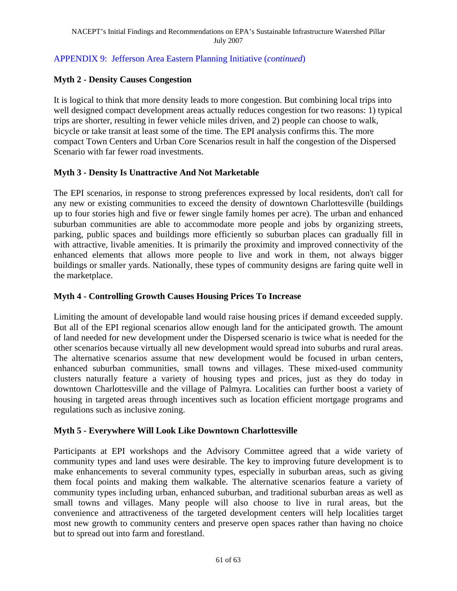#### APPENDIX 9: Jefferson Area Eastern Planning Initiative (*continued*)

#### **Myth 2 - Density Causes Congestion**

It is logical to think that more density leads to more congestion. But combining local trips into well designed compact development areas actually reduces congestion for two reasons: 1) typical trips are shorter, resulting in fewer vehicle miles driven, and 2) people can choose to walk, bicycle or take transit at least some of the time. The EPI analysis confirms this. The more compact Town Centers and Urban Core Scenarios result in half the congestion of the Dispersed Scenario with far fewer road investments.

#### **Myth 3 - Density Is Unattractive And Not Marketable**

The EPI scenarios, in response to strong preferences expressed by local residents, don't call for any new or existing communities to exceed the density of downtown Charlottesville (buildings up to four stories high and five or fewer single family homes per acre). The urban and enhanced suburban communities are able to accommodate more people and jobs by organizing streets, parking, public spaces and buildings more efficiently so suburban places can gradually fill in with attractive, livable amenities. It is primarily the proximity and improved connectivity of the enhanced elements that allows more people to live and work in them, not always bigger buildings or smaller yards. Nationally, these types of community designs are faring quite well in the marketplace.

#### **Myth 4 - Controlling Growth Causes Housing Prices To Increase**

Limiting the amount of developable land would raise housing prices if demand exceeded supply. But all of the EPI regional scenarios allow enough land for the anticipated growth. The amount of land needed for new development under the Dispersed scenario is twice what is needed for the other scenarios because virtually all new development would spread into suburbs and rural areas. The alternative scenarios assume that new development would be focused in urban centers, enhanced suburban communities, small towns and villages. These mixed-used community clusters naturally feature a variety of housing types and prices, just as they do today in downtown Charlottesville and the village of Palmyra. Localities can further boost a variety of housing in targeted areas through incentives such as location efficient mortgage programs and regulations such as inclusive zoning.

#### **Myth 5 - Everywhere Will Look Like Downtown Charlottesville**

Participants at EPI workshops and the Advisory Committee agreed that a wide variety of community types and land uses were desirable. The key to improving future development is to make enhancements to several community types, especially in suburban areas, such as giving them focal points and making them walkable. The alternative scenarios feature a variety of community types including urban, enhanced suburban, and traditional suburban areas as well as small towns and villages. Many people will also choose to live in rural areas, but the convenience and attractiveness of the targeted development centers will help localities target most new growth to community centers and preserve open spaces rather than having no choice but to spread out into farm and forestland.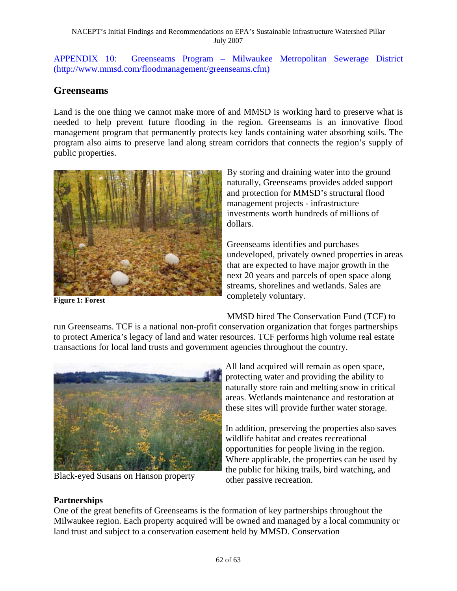APPENDIX 10: Greenseams Program – Milwaukee Metropolitan Sewerage District (http://www.mmsd.com/floodmanagement/greenseams.cfm)

#### **Greenseams**

Land is the one thing we cannot make more of and MMSD is working hard to preserve what is needed to help prevent future flooding in the region. Greenseams is an innovative flood management program that permanently protects key lands containing water absorbing soils. The program also aims to preserve land along stream corridors that connects the region's supply of public properties.



**[Figure 1: Forest](http://www.mmsd.com/images/floodmanagement/gs_mainpic_puff_ball_lg.jpg)** 

By storing and draining water into the ground naturally, Greenseams provides added support and protection for MMSD's structural flood management projects - infrastructure investments worth hundreds of millions of dollars.

Greenseams identifies and purchases undeveloped, privately owned properties in areas that are expected to have major growth in the next 20 years and parcels of open space along streams, shorelines and wetlands. Sales are completely voluntary.

#### MMSD hired The Conservation Fund (TCF) to

run Greenseams. TCF is a national non-profit conservation organization that forges partnerships to protect America's legacy of land and water resources. TCF performs high volume real estate transactions for local land trusts and government agencies throughout the country.



[Black-eyed Susans on Hanson property](http://www.mmsd.com/images/floodmanagement/gs_mainpic_hanson_blackeyesusan_lg.jpg) 

All land acquired will remain as open space, protecting water and providing the ability to naturally store rain and melting snow in critical areas. Wetlands maintenance and restoration at these sites will provide further water storage.

In addition, preserving the properties also saves wildlife habitat and creates recreational opportunities for people living in the region. Where applicable, the properties can be used by the public for hiking trails, bird watching, and other passive recreation.

#### **Partnerships**

One of the great benefits of Greenseams is the formation of key partnerships throughout the Milwaukee region. Each property acquired will be owned and managed by a local community or land trust and subject to a conservation easement held by MMSD. Conservation